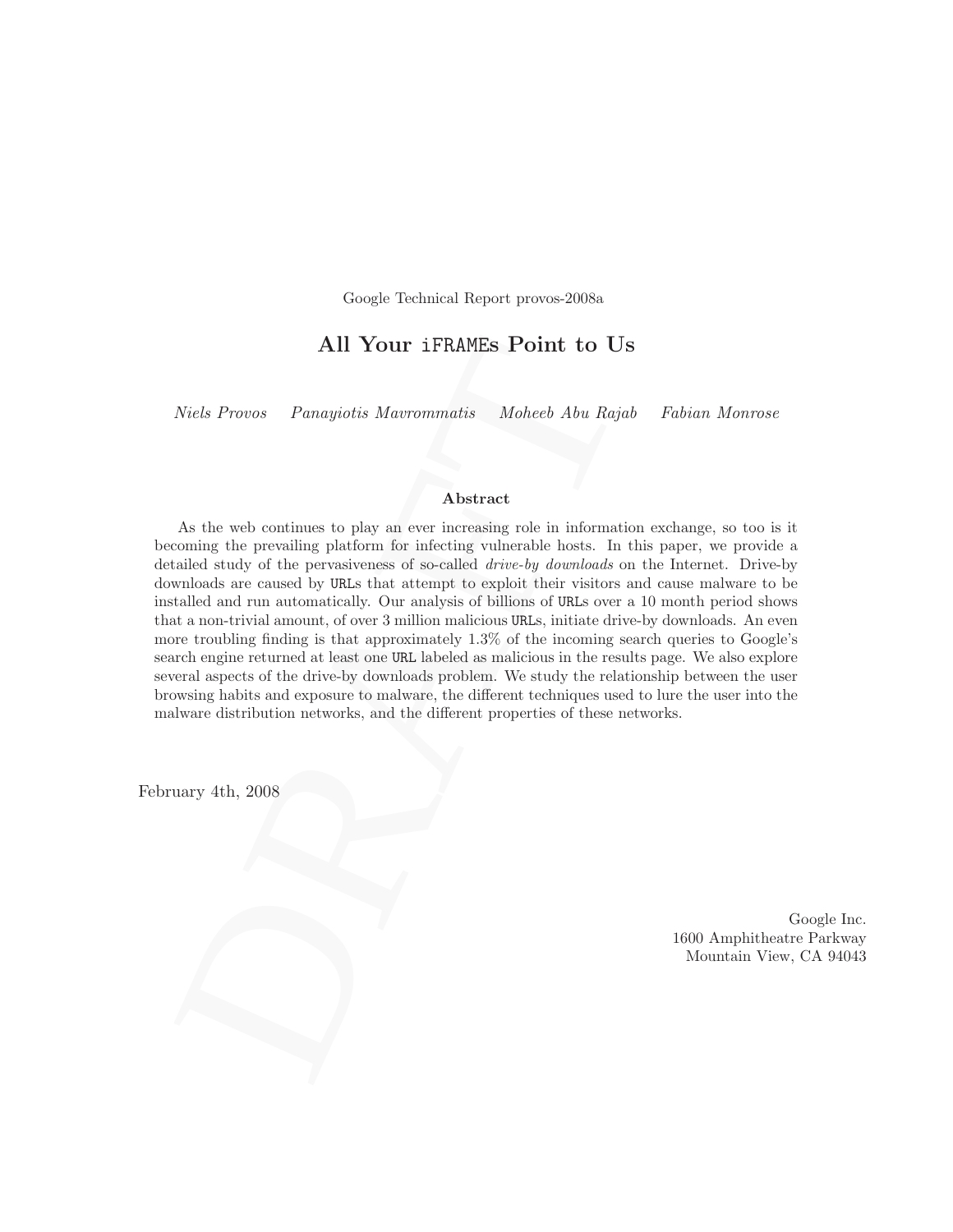Google Technical Report provos-2008a

## All Your iFRAMEs Point to Us

Niels Provos Panayiotis Mavrommatis Moheeb Abu Rajab Fabian Monrose

#### Abstract

**All Your iFRAMEs Point to Us**<br>
Niels Provos Panagiotis Mavronnmatis Moheeb Abu Rajab Fabiar<br>
Niels Provos Panagiotis Mavronnmatis Moheeb Abu Rajab Fabiar<br> **Abstract**<br>  $\blacksquare$ <br>
Abstract<br>
As the web continues to play un eve As the web continues to play an ever increasing role in information exchange, so too is it becoming the prevailing platform for infecting vulnerable hosts. In this paper, we provide a detailed study of the pervasiveness of so-called drive-by downloads on the Internet. Drive-by downloads are caused by URLs that attempt to exploit their visitors and cause malware to be installed and run automatically. Our analysis of billions of URLs over a 10 month period shows that a non-trivial amount, of over 3 million malicious URLs, initiate drive-by downloads. An even more troubling finding is that approximately 1.3% of the incoming search queries to Google's search engine returned at least one URL labeled as malicious in the results page. We also explore several aspects of the drive-by downloads problem. We study the relationship between the user browsing habits and exposure to malware, the different techniques used to lure the user into the malware distribution networks, and the different properties of these networks.

February 4th, 2008

Google Inc. 1600 Amphitheatre Parkway Mountain View, CA 94043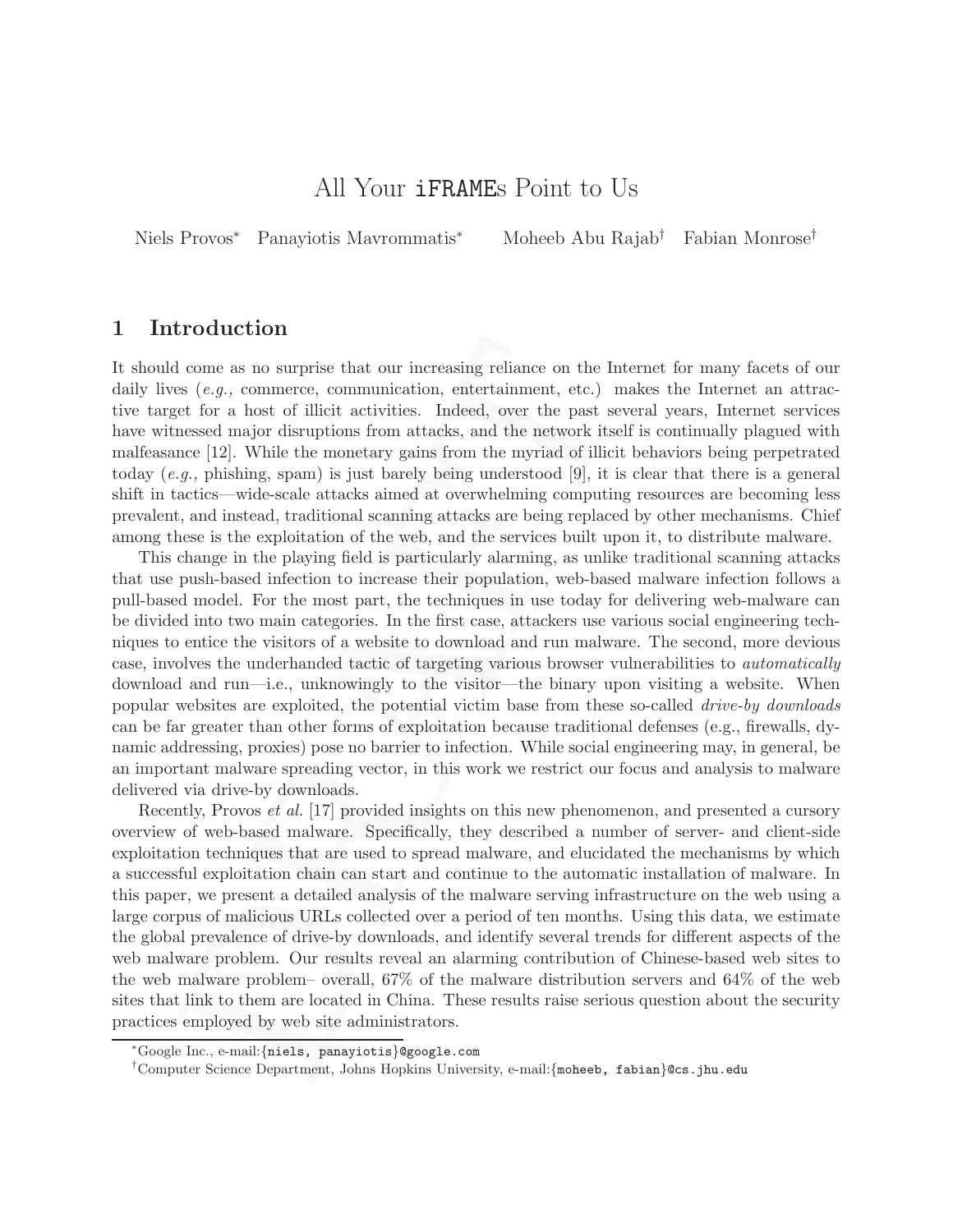# All Your iFRAMEs Point to Us

Niels Provos<sup>∗</sup> Panayiotis Mavrommatis<sup>∗</sup> Moheeb Abu Rajab† Fabian Monrose†

## 1 Introduction

It should come as no surprise that our increasing reliance on the Internet for many facets of our daily lives  $(e,q)$ , commerce, communication, entertainment, etc.) makes the Internet an attractive target for a host of illicit activities. Indeed, over the past several years, Internet services have witnessed major disruptions from attacks, and the network itself is continually plagued with malfeasance [12]. While the monetary gains from the myriad of illicit behaviors being perpetrated today (e.g., phishing, spam) is just barely being understood [9], it is clear that there is a general shift in tactics—wide-scale attacks aimed at overwhelming computing resources are becoming less prevalent, and instead, traditional scanning attacks are being replaced by other mechanisms. Chief among these is the exploitation of the web, and the services built upon it, to distribute malware.

section<br>as no surprise that our increasing reliance on the Internet for rest<br>(e.g., commerce, communication, entertainment, etc.) makes the Is<br>etc for a host of illicit activities. Indeed, over the past several years,<br>mes This change in the playing field is particularly alarming, as unlike traditional scanning attacks that use push-based infection to increase their population, web-based malware infection follows a pull-based model. For the most part, the techniques in use today for delivering web-malware can be divided into two main categories. In the first case, attackers use various social engineering techniques to entice the visitors of a website to download and run malware. The second, more devious case, involves the underhanded tactic of targeting various browser vulnerabilities to automatically download and run—i.e., unknowingly to the visitor—the binary upon visiting a website. When popular websites are exploited, the potential victim base from these so-called drive-by downloads can be far greater than other forms of exploitation because traditional defenses (e.g., firewalls, dynamic addressing, proxies) pose no barrier to infection. While social engineering may, in general, be an important malware spreading vector, in this work we restrict our focus and analysis to malware delivered via drive-by downloads.

Recently, Provos et al. [17] provided insights on this new phenomenon, and presented a cursory overview of web-based malware. Specifically, they described a number of server- and client-side exploitation techniques that are used to spread malware, and elucidated the mechanisms by which a successful exploitation chain can start and continue to the automatic installation of malware. In this paper, we present a detailed analysis of the malware serving infrastructure on the web using a large corpus of malicious URLs collected over a period of ten months. Using this data, we estimate the global prevalence of drive-by downloads, and identify several trends for different aspects of the web malware problem. Our results reveal an alarming contribution of Chinese-based web sites to the web malware problem– overall, 67% of the malware distribution servers and 64% of the web sites that link to them are located in China. These results raise serious question about the security practices employed by web site administrators.

<sup>∗</sup>Google Inc., e-mail:{niels, panayiotis}@google.com

<sup>†</sup>Computer Science Department, Johns Hopkins University, e-mail:{moheeb, fabian}@cs.jhu.edu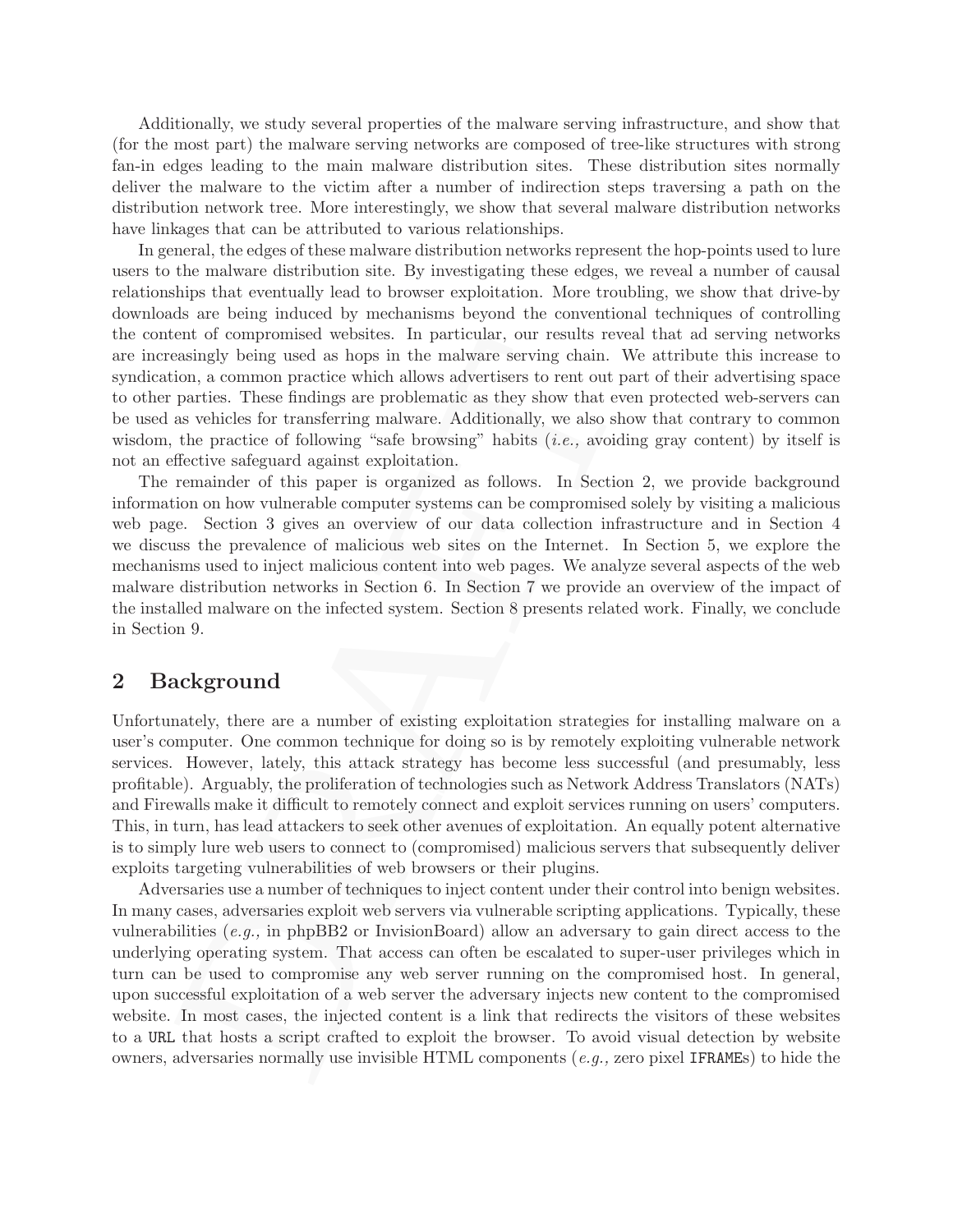Additionally, we study several properties of the malware serving infrastructure, and show that (for the most part) the malware serving networks are composed of tree-like structures with strong fan-in edges leading to the main malware distribution sites. These distribution sites normally deliver the malware to the victim after a number of indirection steps traversing a path on the distribution network tree. More interestingly, we show that several malware distribution networks have linkages that can be attributed to various relationships.

In general, the edges of these malware distribution networks represent the hop-points used to lure users to the malware distribution site. By investigating these edges, we reveal a number of causal relationships that eventually lead to browser exploitation. More troubling, we show that drive-by downloads are being induced by mechanisms beyond the conventional techniques of controlling the content of compromised websites. In particular, our results reveal that ad serving networks are increasingly being used as hops in the malware serving chain. We attribute this increase to syndication, a common practice which allows advertisers to rent out part of their advertising space to other parties. These findings are problematic as they show that even protected web-servers can be used as vehicles for transferring malware. Additionally, we also show that contrary to common wisdom, the practice of following "safe browsing" habits  $(i.e.,$  avoiding gray content) by itself is not an effective safeguard against exploitation.

The remainder of this paper is organized as follows. In Section 2, we provide background information on how vulnerable computer systems can be compromised solely by visiting a malicious web page. Section 3 gives an overview of our data collection infrastructure and in Section 4 we discuss the prevalence of malicious web sites on the Internet. In Section 5, we explore the mechanisms used to inject malicious content into web pages. We analyze several aspects of the web malware distribution networks in Section 6. In Section 7 we provide an overview of the impact of the installed malware on the infected system. Section 8 presents related work. Finally, we conclude in Section 9.

## 2 Background

Unfortunately, there are a number of existing exploitation strategies for installing malware on a user's computer. One common technique for doing so is by remotely exploiting vulnerable network services. However, lately, this attack strategy has become less successful (and presumably, less profitable). Arguably, the proliferation of technologies such as Network Address Translators (NATs) and Firewalls make it difficult to remotely connect and exploit services running on users' computers. This, in turn, has lead attackers to seek other avenues of exploitation. An equally potent alternative is to simply lure web users to connect to (compromised) malicious servers that subsequently deliver exploits targeting vulnerabilities of web browsers or their plugins.

en or compromised weakness. In particular, our resions events are an anomor particulo, a common particle which allows advertisers to rent out part of their particle. These findings are problematic as they show that two pr Adversaries use a number of techniques to inject content under their control into benign websites. In many cases, adversaries exploit web servers via vulnerable scripting applications. Typically, these vulnerabilities (e.g., in phpBB2 or InvisionBoard) allow an adversary to gain direct access to the underlying operating system. That access can often be escalated to super-user privileges which in turn can be used to compromise any web server running on the compromised host. In general, upon successful exploitation of a web server the adversary injects new content to the compromised website. In most cases, the injected content is a link that redirects the visitors of these websites to a URL that hosts a script crafted to exploit the browser. To avoid visual detection by website owners, adversaries normally use invisible HTML components  $(e, q, z)$  zero pixel IFRAMEs to hide the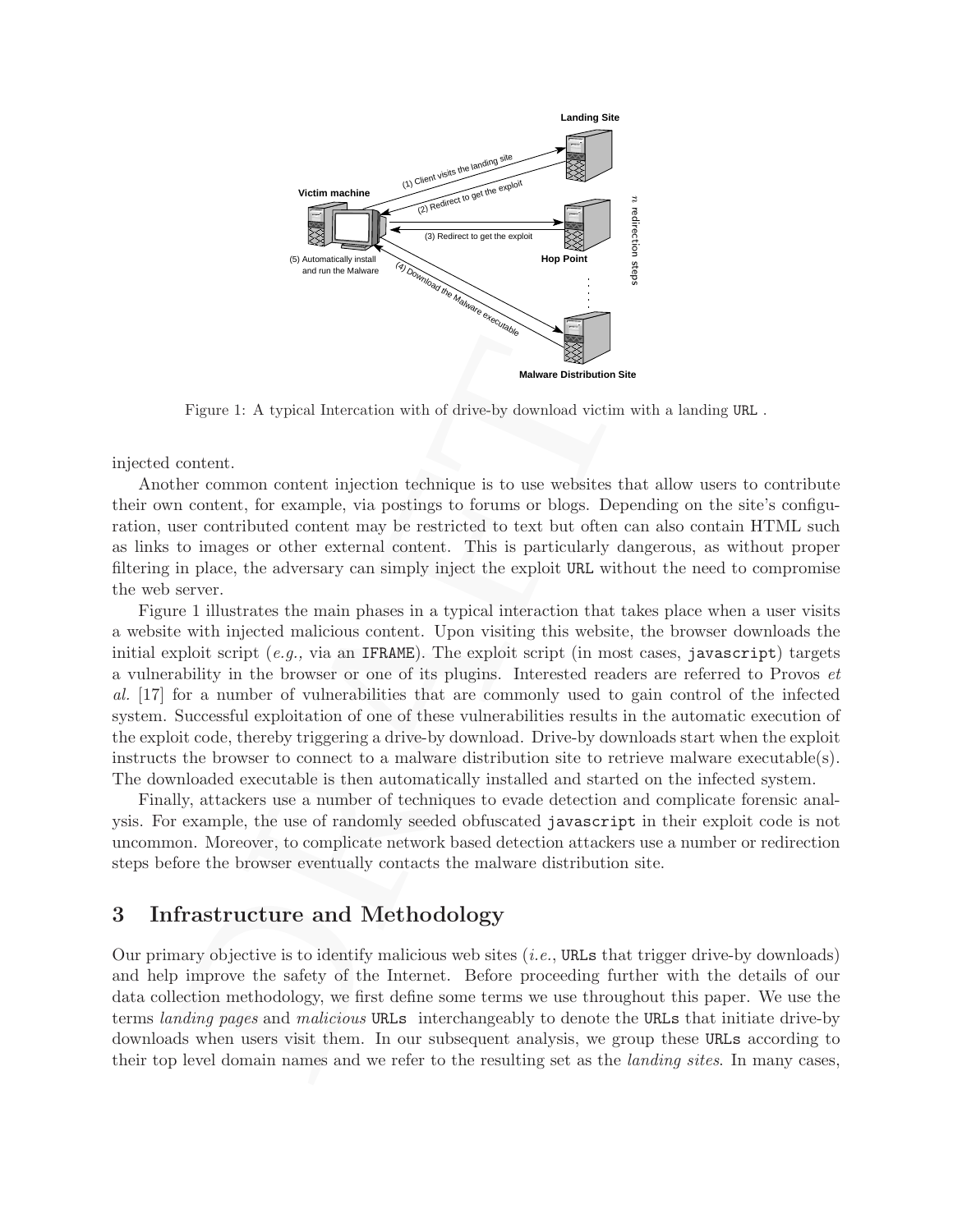

Figure 1: A typical Intercation with of drive-by download victim with a landing URL .

injected content.

Another common content injection technique is to use websites that allow users to contribute their own content, for example, via postings to forums or blogs. Depending on the site's configuration, user contributed content may be restricted to text but often can also contain HTML such as links to images or other external content. This is particularly dangerous, as without proper filtering in place, the adversary can simply inject the exploit URL without the need to compromise the web server.

Figure 1: A typical Intercation with of drive-by download victim with a land content.<br>
here common content injection technique is to use websites that allow no content. there common content injection technique is to use w Figure 1 illustrates the main phases in a typical interaction that takes place when a user visits a website with injected malicious content. Upon visiting this website, the browser downloads the initial exploit script  $(e.q., via, an IFRAME)$ . The exploit script (in most cases, javascript) targets a vulnerability in the browser or one of its plugins. Interested readers are referred to Provos et al. [17] for a number of vulnerabilities that are commonly used to gain control of the infected system. Successful exploitation of one of these vulnerabilities results in the automatic execution of the exploit code, thereby triggering a drive-by download. Drive-by downloads start when the exploit instructs the browser to connect to a malware distribution site to retrieve malware executable(s). The downloaded executable is then automatically installed and started on the infected system.

Finally, attackers use a number of techniques to evade detection and complicate forensic analysis. For example, the use of randomly seeded obfuscated javascript in their exploit code is not uncommon. Moreover, to complicate network based detection attackers use a number or redirection steps before the browser eventually contacts the malware distribution site.

## 3 Infrastructure and Methodology

Our primary objective is to identify malicious web sites  $(i.e., \text{URLs that trigger drive-by downloads})$ and help improve the safety of the Internet. Before proceeding further with the details of our data collection methodology, we first define some terms we use throughout this paper. We use the terms landing pages and malicious URLs interchangeably to denote the URLs that initiate drive-by downloads when users visit them. In our subsequent analysis, we group these URLs according to their top level domain names and we refer to the resulting set as the landing sites. In many cases,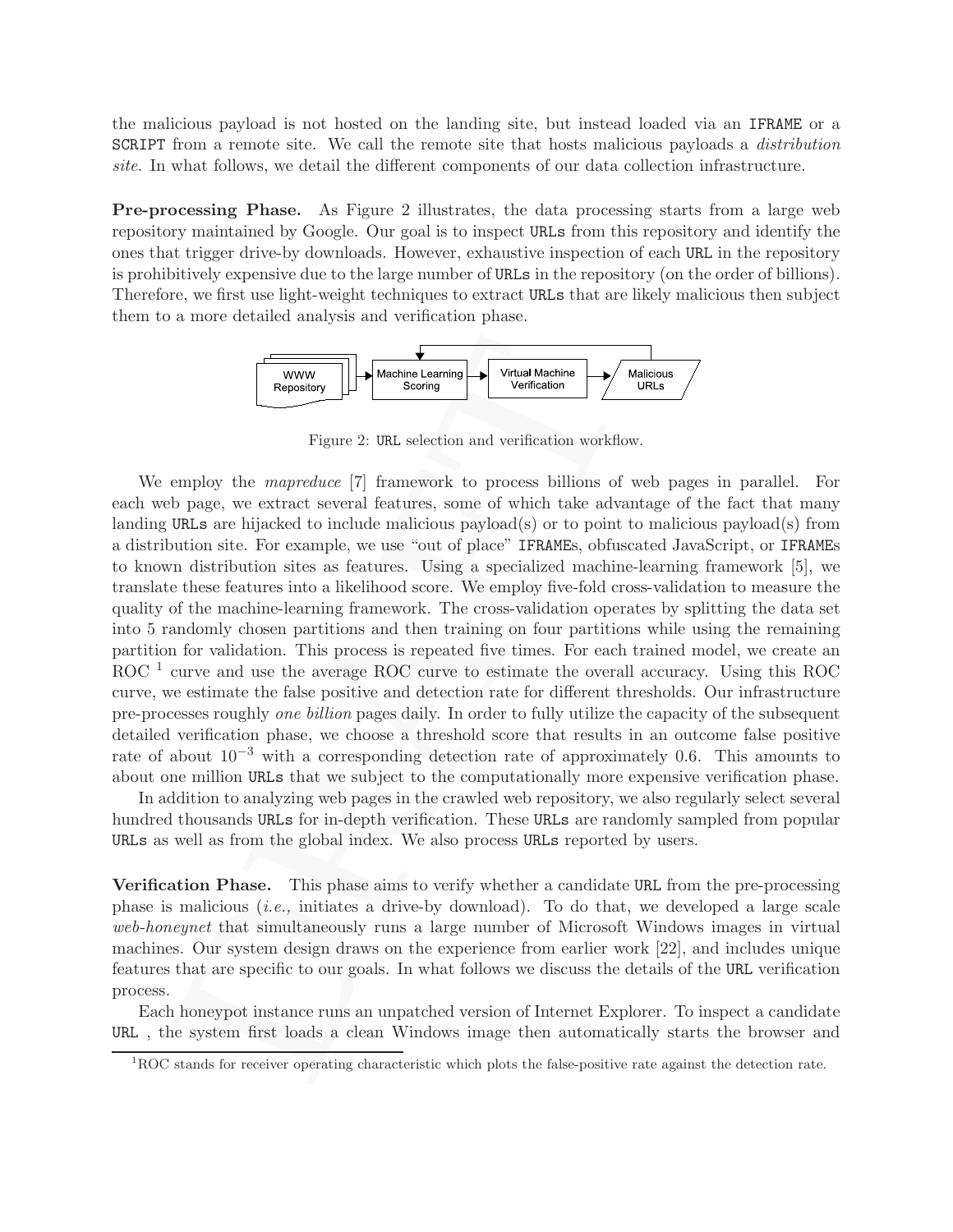the malicious payload is not hosted on the landing site, but instead loaded via an IFRAME or a SCRIPT from a remote site. We call the remote site that hosts malicious payloads a *distribution* site. In what follows, we detail the different components of our data collection infrastructure.

Pre-processing Phase. As Figure 2 illustrates, the data processing starts from a large web repository maintained by Google. Our goal is to inspect URLs from this repository and identify the ones that trigger drive-by downloads. However, exhaustive inspection of each URL in the repository is prohibitively expensive due to the large number of URLs in the repository (on the order of billions). Therefore, we first use light-weight techniques to extract URLs that are likely malicious then subject them to a more detailed analysis and verification phase.



Figure 2: URL selection and verification workflow.

DRAFT We employ the *mapreduce* [7] framework to process billions of web pages in parallel. For each web page, we extract several features, some of which take advantage of the fact that many landing URLs are hijacked to include malicious payload(s) or to point to malicious payload(s) from a distribution site. For example, we use "out of place" IFRAMEs, obfuscated JavaScript, or IFRAMEs to known distribution sites as features. Using a specialized machine-learning framework [5], we translate these features into a likelihood score. We employ five-fold cross-validation to measure the quality of the machine-learning framework. The cross-validation operates by splitting the data set into 5 randomly chosen partitions and then training on four partitions while using the remaining partition for validation. This process is repeated five times. For each trained model, we create an ROC<sup>1</sup> curve and use the average ROC curve to estimate the overall accuracy. Using this ROC curve, we estimate the false positive and detection rate for different thresholds. Our infrastructure pre-processes roughly one billion pages daily. In order to fully utilize the capacity of the subsequent detailed verification phase, we choose a threshold score that results in an outcome false positive rate of about  $10^{-3}$  with a corresponding detection rate of approximately 0.6. This amounts to about one million URLs that we subject to the computationally more expensive verification phase.

In addition to analyzing web pages in the crawled web repository, we also regularly select several hundred thousands URLs for in-depth verification. These URLs are randomly sampled from popular URLs as well as from the global index. We also process URLs reported by users.

Verification Phase. This phase aims to verify whether a candidate URL from the pre-processing phase is malicious *(i.e.,* initiates a drive-by download). To do that, we developed a large scale web-honeynet that simultaneously runs a large number of Microsoft Windows images in virtual machines. Our system design draws on the experience from earlier work [22], and includes unique features that are specific to our goals. In what follows we discuss the details of the URL verification process.

Each honeypot instance runs an unpatched version of Internet Explorer. To inspect a candidate URL , the system first loads a clean Windows image then automatically starts the browser and

 ${}^{1}$ ROC stands for receiver operating characteristic which plots the false-positive rate against the detection rate.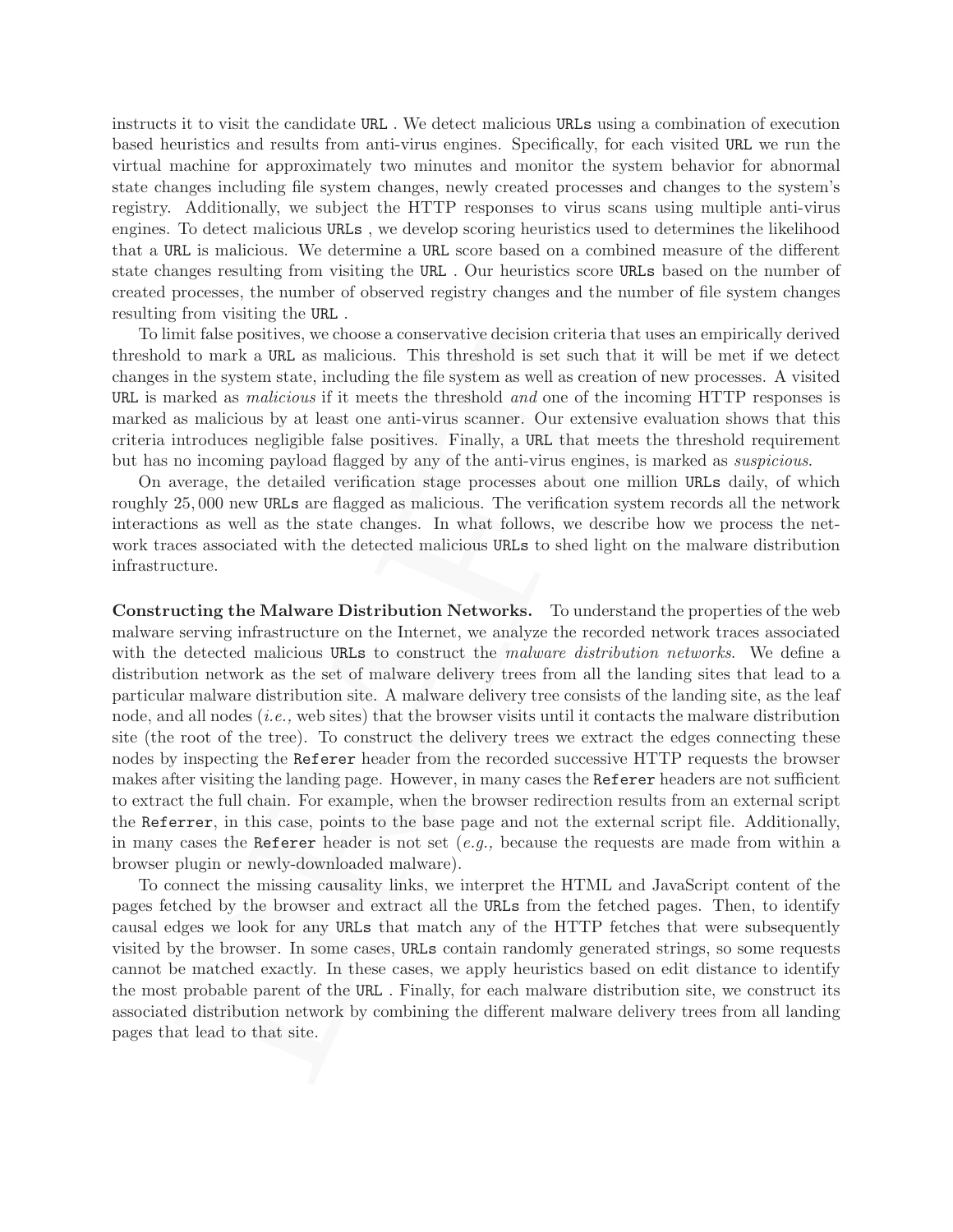instructs it to visit the candidate URL . We detect malicious URLs using a combination of execution based heuristics and results from anti-virus engines. Specifically, for each visited URL we run the virtual machine for approximately two minutes and monitor the system behavior for abnormal state changes including file system changes, newly created processes and changes to the system's registry. Additionally, we subject the HTTP responses to virus scans using multiple anti-virus engines. To detect malicious URLs , we develop scoring heuristics used to determines the likelihood that a URL is malicious. We determine a URL score based on a combined measure of the different state changes resulting from visiting the URL . Our heuristics score URLs based on the number of created processes, the number of observed registry changes and the number of file system changes resulting from visiting the URL .

To limit false positives, we choose a conservative decision criteria that uses an empirically derived threshold to mark a URL as malicious. This threshold is set such that it will be met if we detect changes in the system state, including the file system as well as creation of new processes. A visited URL is marked as *malicious* if it meets the threshold and one of the incoming HTTP responses is marked as malicious by at least one anti-virus scanner. Our extensive evaluation shows that this criteria introduces negligible false positives. Finally, a URL that meets the threshold requirement but has no incoming payload flagged by any of the anti-virus engines, is marked as suspicious.

On average, the detailed verification stage processes about one million URLs daily, of which roughly 25, 000 new URLs are flagged as malicious. The verification system records all the network interactions as well as the state changes. In what follows, we describe how we process the network traces associated with the detected malicious URLs to shed light on the malware distribution infrastructure.

min tase positives, we to<br>boxe a conservance at some and use as a formula and the mark a BRL as malicious. This threshold is set such that it will be<br>in the system state, including the file system as well as of the incomi Constructing the Malware Distribution Networks. To understand the properties of the web malware serving infrastructure on the Internet, we analyze the recorded network traces associated with the detected malicious URLs to construct the malware distribution networks. We define a distribution network as the set of malware delivery trees from all the landing sites that lead to a particular malware distribution site. A malware delivery tree consists of the landing site, as the leaf node, and all nodes (i.e., web sites) that the browser visits until it contacts the malware distribution site (the root of the tree). To construct the delivery trees we extract the edges connecting these nodes by inspecting the Referer header from the recorded successive HTTP requests the browser makes after visiting the landing page. However, in many cases the Referer headers are not sufficient to extract the full chain. For example, when the browser redirection results from an external script the Referrer, in this case, points to the base page and not the external script file. Additionally, in many cases the Referer header is not set  $(e.g.,)$  because the requests are made from within a browser plugin or newly-downloaded malware).

To connect the missing causality links, we interpret the HTML and JavaScript content of the pages fetched by the browser and extract all the URLs from the fetched pages. Then, to identify causal edges we look for any URLs that match any of the HTTP fetches that were subsequently visited by the browser. In some cases, URLs contain randomly generated strings, so some requests cannot be matched exactly. In these cases, we apply heuristics based on edit distance to identify the most probable parent of the URL . Finally, for each malware distribution site, we construct its associated distribution network by combining the different malware delivery trees from all landing pages that lead to that site.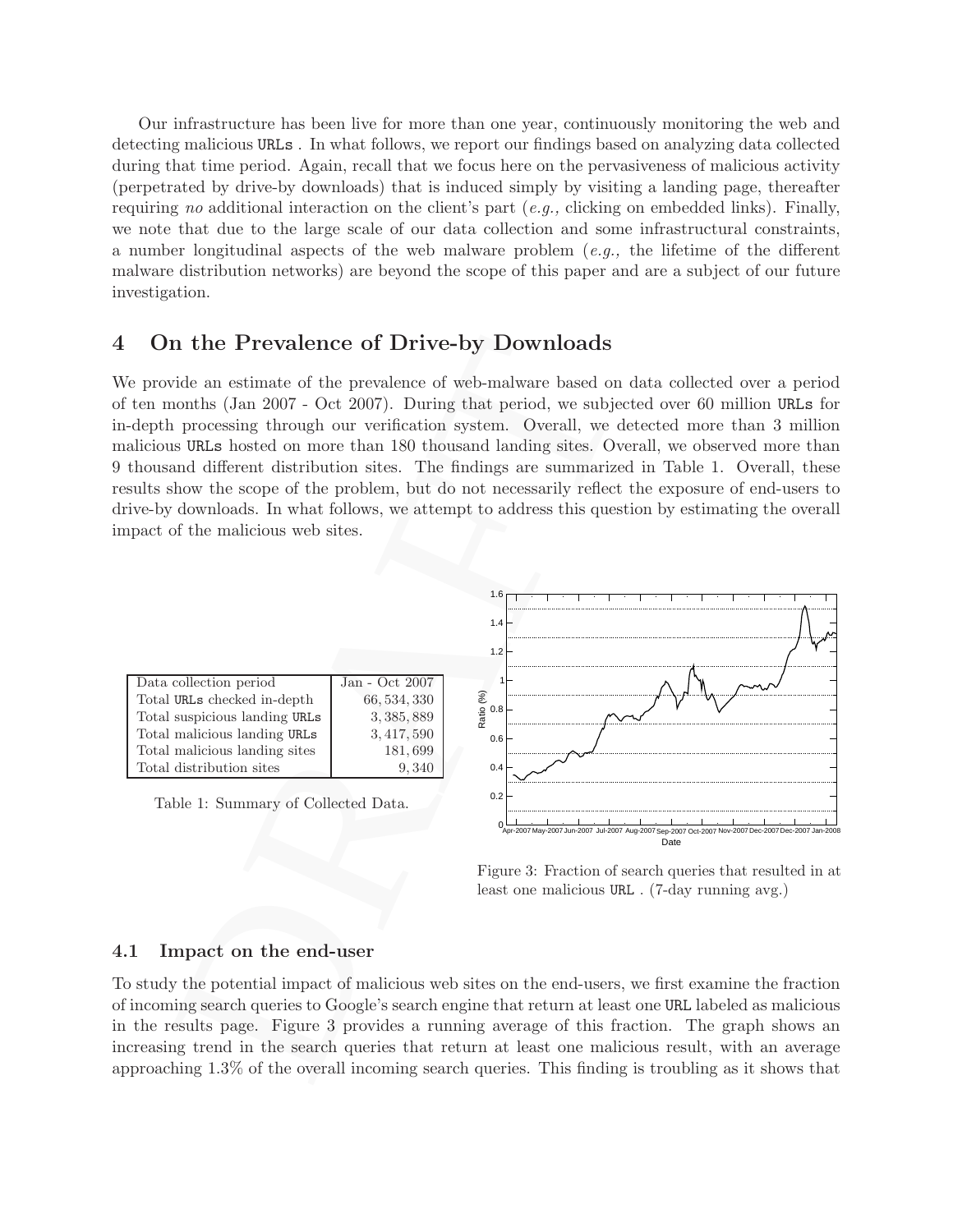Our infrastructure has been live for more than one year, continuously monitoring the web and detecting malicious URLs . In what follows, we report our findings based on analyzing data collected during that time period. Again, recall that we focus here on the pervasiveness of malicious activity (perpetrated by drive-by downloads) that is induced simply by visiting a landing page, thereafter requiring no additional interaction on the client's part (e.g., clicking on embedded links). Finally, we note that due to the large scale of our data collection and some infrastructural constraints, a number longitudinal aspects of the web malware problem  $(e,q)$ , the lifetime of the different malware distribution networks) are beyond the scope of this paper and are a subject of our future investigation.

## 4 On the Prevalence of Drive-by Downloads

We provide an estimate of the prevalence of web-malware based on data collected over a period of ten months (Jan 2007 - Oct 2007). During that period, we subjected over 60 million URLs for in-depth processing through our verification system. Overall, we detected more than 3 million malicious URLs hosted on more than 180 thousand landing sites. Overall, we observed more than 9 thousand different distribution sites. The findings are summarized in Table 1. Overall, these results show the scope of the problem, but do not necessarily reflect the exposure of end-users to drive-by downloads. In what follows, we attempt to address this question by estimating the overall impact of the malicious web sites.



Figure 3: Fraction of search queries that resulted in at least one malicious URL . (7-day running avg.)

Date

#### 4.1 Impact on the end-user

To study the potential impact of malicious web sites on the end-users, we first examine the fraction of incoming search queries to Google's search engine that return at least one URL labeled as malicious in the results page. Figure 3 provides a running average of this fraction. The graph shows an increasing trend in the search queries that return at least one malicious result, with an average approaching 1.3% of the overall incoming search queries. This finding is troubling as it shows that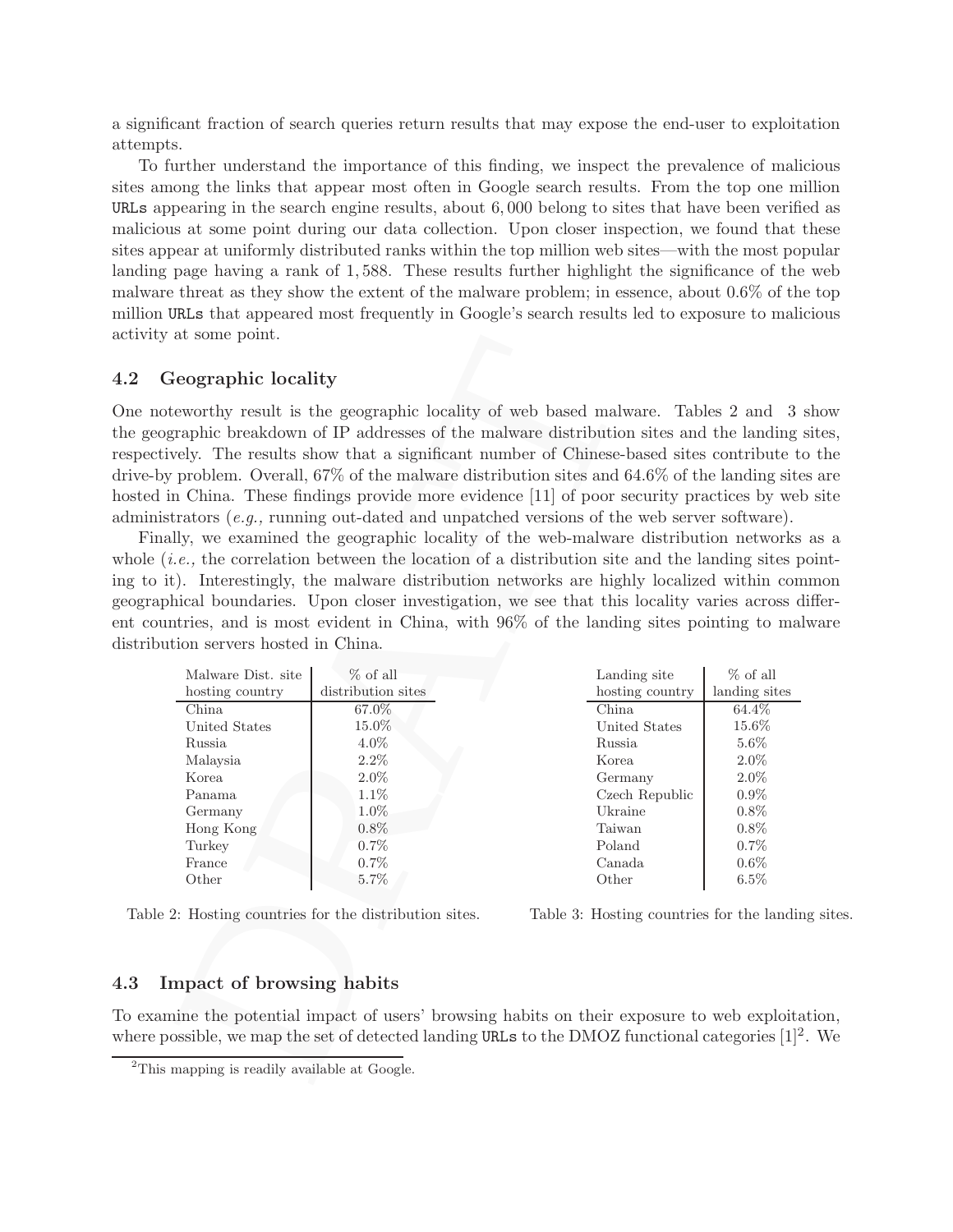a significant fraction of search queries return results that may expose the end-user to exploitation attempts.

To further understand the importance of this finding, we inspect the prevalence of malicious sites among the links that appear most often in Google search results. From the top one million URLs appearing in the search engine results, about 6, 000 belong to sites that have been verified as malicious at some point during our data collection. Upon closer inspection, we found that these sites appear at uniformly distributed ranks within the top million web sites—with the most popular landing page having a rank of 1, 588. These results further highlight the significance of the web malware threat as they show the extent of the malware problem; in essence, about 0.6% of the top million URLs that appeared most frequently in Google's search results led to exposure to malicious activity at some point.

#### 4.2 Geographic locality

One noteworthy result is the geographic locality of web based malware. Tables 2 and 3 show the geographic breakdown of IP addresses of the malware distribution sites and the landing sites, respectively. The results show that a significant number of Chinese-based sites contribute to the drive-by problem. Overall, 67% of the malware distribution sites and 64.6% of the landing sites are hosted in China. These findings provide more evidence [11] of poor security practices by web site administrators (e.g., running out-dated and unpatched versions of the web server software).

Finally, we examined the geographic locality of the web-malware distribution networks as a whole  $(i.e.,$  the correlation between the location of a distribution site and the landing sites pointing to it). Interestingly, the malware distribution networks are highly localized within common geographical boundaries. Upon closer investigation, we see that this locality varies across different countries, and is most evident in China, with 96% of the landing sites pointing to malware distribution servers hosted in China.

| at some point.                          |                                                  |                                                                                                                                                                                                                                                                                                                                                                                                                                                                                                                                                                                                                                                                                                                                                                                                                                                                                                                                                                                                                           |                 |
|-----------------------------------------|--------------------------------------------------|---------------------------------------------------------------------------------------------------------------------------------------------------------------------------------------------------------------------------------------------------------------------------------------------------------------------------------------------------------------------------------------------------------------------------------------------------------------------------------------------------------------------------------------------------------------------------------------------------------------------------------------------------------------------------------------------------------------------------------------------------------------------------------------------------------------------------------------------------------------------------------------------------------------------------------------------------------------------------------------------------------------------------|-----------------|
| eographic locality                      |                                                  |                                                                                                                                                                                                                                                                                                                                                                                                                                                                                                                                                                                                                                                                                                                                                                                                                                                                                                                                                                                                                           |                 |
| tion servers hosted in China.           |                                                  | eworthy result is the geographic locality of web based malware. Tables 2 and 3 s<br>graphic breakdown of IP addresses of the malware distribution sites and the landing s<br>vely. The results show that a significant number of Chinese-based sites contribute to<br>problem. Overall, $67\%$ of the malware distribution sites and $64.6\%$ of the landing site<br>n China. These findings provide more evidence [11] of poor security practices by web<br>trators $(e.g.,$ running out-dated and unpatched versions of the web server software).<br>lly, we examined the geographic locality of the web-malware distribution networks<br><i>i.e.</i> , the correlation between the location of a distribution site and the landing sites po<br>t). Interestingly, the malware distribution networks are highly localized within com<br>hical boundaries. Upon closer investigation, we see that this locality varies across di<br>ntries, and is most evident in China, with 96% of the landing sites pointing to mal- |                 |
|                                         |                                                  |                                                                                                                                                                                                                                                                                                                                                                                                                                                                                                                                                                                                                                                                                                                                                                                                                                                                                                                                                                                                                           |                 |
| Malware Dist. site                      | $%$ of all                                       | Landing site                                                                                                                                                                                                                                                                                                                                                                                                                                                                                                                                                                                                                                                                                                                                                                                                                                                                                                                                                                                                              | $%$ of all      |
| hosting country                         | distribution sites                               | hosting country                                                                                                                                                                                                                                                                                                                                                                                                                                                                                                                                                                                                                                                                                                                                                                                                                                                                                                                                                                                                           | landing sites   |
| China                                   | 67.0%                                            | China                                                                                                                                                                                                                                                                                                                                                                                                                                                                                                                                                                                                                                                                                                                                                                                                                                                                                                                                                                                                                     | 64.4\%          |
| United States                           | $15.0\%$                                         | United States                                                                                                                                                                                                                                                                                                                                                                                                                                                                                                                                                                                                                                                                                                                                                                                                                                                                                                                                                                                                             | $15.6\%$        |
| Russia                                  | $4.0\%$                                          | Russia                                                                                                                                                                                                                                                                                                                                                                                                                                                                                                                                                                                                                                                                                                                                                                                                                                                                                                                                                                                                                    | $5.6\%$         |
| Malaysia                                | $2.2\%$                                          | Korea                                                                                                                                                                                                                                                                                                                                                                                                                                                                                                                                                                                                                                                                                                                                                                                                                                                                                                                                                                                                                     | $2.0\%$         |
| Korea                                   | $2.0\%$                                          | Germany                                                                                                                                                                                                                                                                                                                                                                                                                                                                                                                                                                                                                                                                                                                                                                                                                                                                                                                                                                                                                   | $2.0\%$         |
| Panama                                  | $1.1\%$                                          | Czech Republic                                                                                                                                                                                                                                                                                                                                                                                                                                                                                                                                                                                                                                                                                                                                                                                                                                                                                                                                                                                                            | $0.9\%$         |
| Germany                                 | $1.0\%$                                          | Ukraine                                                                                                                                                                                                                                                                                                                                                                                                                                                                                                                                                                                                                                                                                                                                                                                                                                                                                                                                                                                                                   | 0.8%            |
| Hong Kong                               | $0.8\%$                                          | Taiwan                                                                                                                                                                                                                                                                                                                                                                                                                                                                                                                                                                                                                                                                                                                                                                                                                                                                                                                                                                                                                    | 0.8%            |
| Turkey                                  | $0.7\%$                                          | Poland                                                                                                                                                                                                                                                                                                                                                                                                                                                                                                                                                                                                                                                                                                                                                                                                                                                                                                                                                                                                                    | 0.7%            |
| France<br>Other                         | $0.7\%$<br>5.7%                                  | Canada<br>Other                                                                                                                                                                                                                                                                                                                                                                                                                                                                                                                                                                                                                                                                                                                                                                                                                                                                                                                                                                                                           | $0.6\%$<br>6.5% |
| mpact of browsing habits                | 2: Hosting countries for the distribution sites. | Table 3: Hosting countries for the landing                                                                                                                                                                                                                                                                                                                                                                                                                                                                                                                                                                                                                                                                                                                                                                                                                                                                                                                                                                                |                 |
|                                         |                                                  |                                                                                                                                                                                                                                                                                                                                                                                                                                                                                                                                                                                                                                                                                                                                                                                                                                                                                                                                                                                                                           |                 |
|                                         |                                                  | ine the potential impact of users' browsing habits on their exposure to web exploita<br>ossible, we map the set of detected landing URLs to the DMOZ functional categories $[1]^2$ .                                                                                                                                                                                                                                                                                                                                                                                                                                                                                                                                                                                                                                                                                                                                                                                                                                      |                 |
| mapping is readily available at Google. |                                                  |                                                                                                                                                                                                                                                                                                                                                                                                                                                                                                                                                                                                                                                                                                                                                                                                                                                                                                                                                                                                                           |                 |
|                                         |                                                  |                                                                                                                                                                                                                                                                                                                                                                                                                                                                                                                                                                                                                                                                                                                                                                                                                                                                                                                                                                                                                           |                 |

Table 2: Hosting countries for the distribution sites.

Table 3: Hosting countries for the landing sites.

### 4.3 Impact of browsing habits

To examine the potential impact of users' browsing habits on their exposure to web exploitation, where possible, we map the set of detected landing URLs to the DMOZ functional categories  $[1]^2$ . We

<sup>&</sup>lt;sup>2</sup>This mapping is readily available at Google.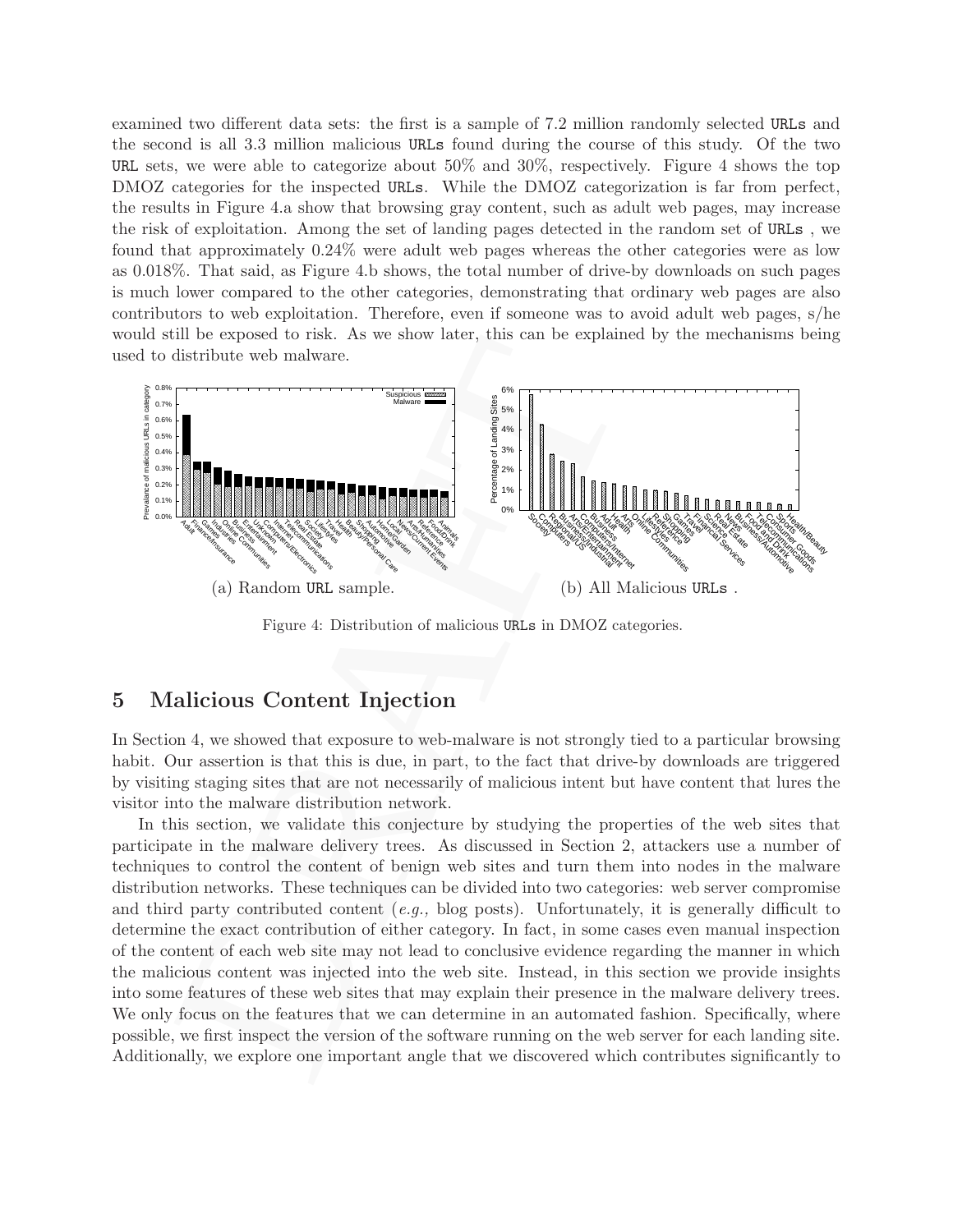examined two different data sets: the first is a sample of 7.2 million randomly selected URLs and the second is all 3.3 million malicious URLs found during the course of this study. Of the two URL sets, we were able to categorize about 50% and 30%, respectively. Figure 4 shows the top DMOZ categories for the inspected URLs. While the DMOZ categorization is far from perfect, the results in Figure 4.a show that browsing gray content, such as adult web pages, may increase the risk of exploitation. Among the set of landing pages detected in the random set of URLs , we found that approximately 0.24% were adult web pages whereas the other categories were as low as 0.018%. That said, as Figure 4.b shows, the total number of drive-by downloads on such pages is much lower compared to the other categories, demonstrating that ordinary web pages are also contributors to web exploitation. Therefore, even if someone was to avoid adult web pages, s/he would still be exposed to risk. As we show later, this can be explained by the mechanisms being used to distribute web malware.



Figure 4: Distribution of malicious URLs in DMOZ categories.

## 5 Malicious Content Injection

In Section 4, we showed that exposure to web-malware is not strongly tied to a particular browsing habit. Our assertion is that this is due, in part, to the fact that drive-by downloads are triggered by visiting staging sites that are not necessarily of malicious intent but have content that lures the visitor into the malware distribution network.

For the exposar of the real set of the set of the set of the set of the set of the set of the set of the set of the set of the set of the set of the set of the set of the set of the set of the set of the set of the set of In this section, we validate this conjecture by studying the properties of the web sites that participate in the malware delivery trees. As discussed in Section 2, attackers use a number of techniques to control the content of benign web sites and turn them into nodes in the malware distribution networks. These techniques can be divided into two categories: web server compromise and third party contributed content  $(e.g.,\text{ blog posts})$ . Unfortunately, it is generally difficult to determine the exact contribution of either category. In fact, in some cases even manual inspection of the content of each web site may not lead to conclusive evidence regarding the manner in which the malicious content was injected into the web site. Instead, in this section we provide insights into some features of these web sites that may explain their presence in the malware delivery trees. We only focus on the features that we can determine in an automated fashion. Specifically, where possible, we first inspect the version of the software running on the web server for each landing site. Additionally, we explore one important angle that we discovered which contributes significantly to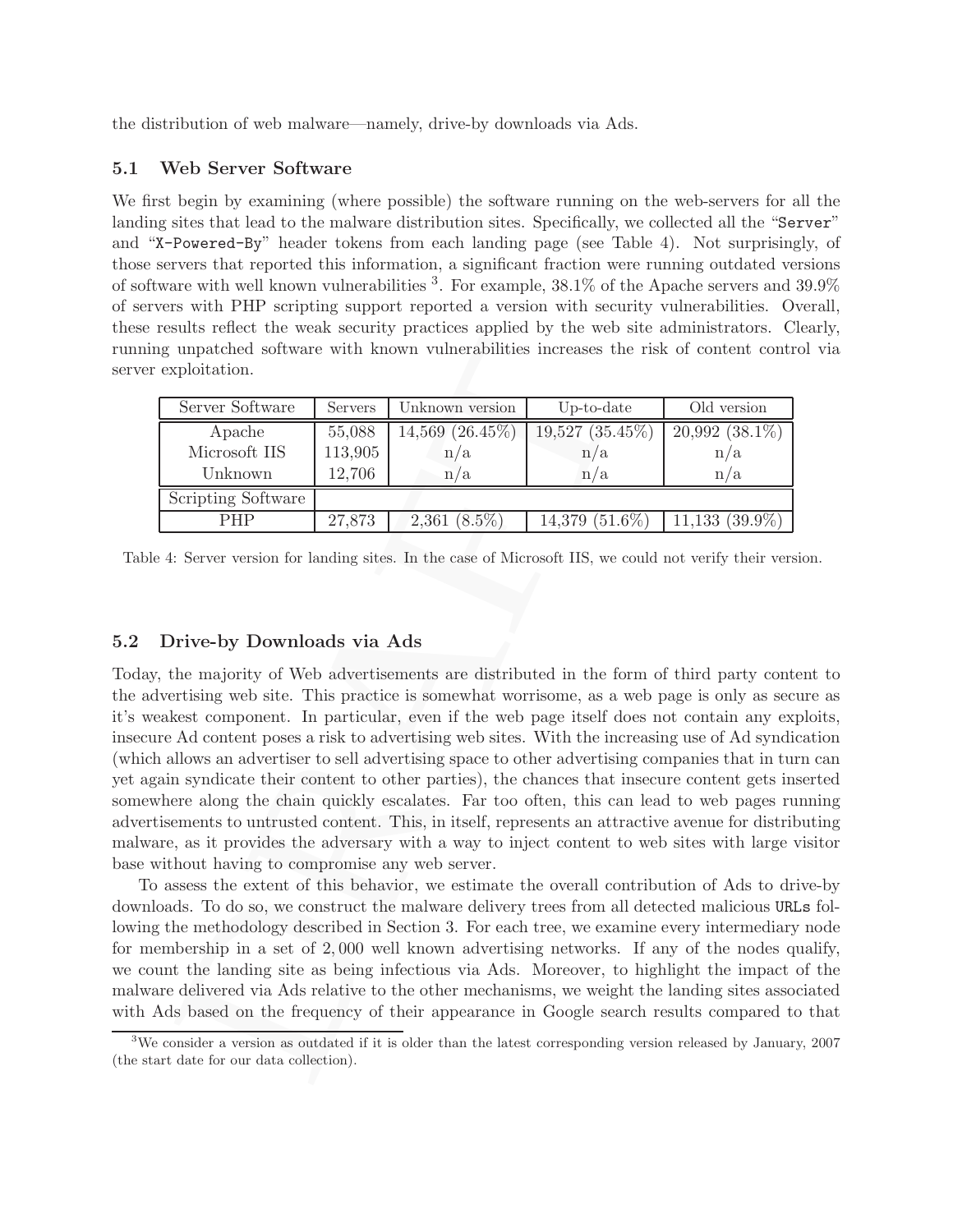the distribution of web malware—namely, drive-by downloads via Ads.

### 5.1 Web Server Software

We first begin by examining (where possible) the software running on the web-servers for all the landing sites that lead to the malware distribution sites. Specifically, we collected all the "Server" and "X-Powered-By" header tokens from each landing page (see Table 4). Not surprisingly, of those servers that reported this information, a significant fraction were running outdated versions of software with well known vulnerabilities <sup>3</sup>. For example, 38.1% of the Apache servers and 39.9% of servers with PHP scripting support reported a version with security vulnerabilities. Overall, these results reflect the weak security practices applied by the web site administrators. Clearly, running unpatched software with known vulnerabilities increases the risk of content control via server exploitation.

| Server Software    | Servers | Unknown version                         | $Up-to-date$        | Old version                    |  |
|--------------------|---------|-----------------------------------------|---------------------|--------------------------------|--|
| Apache             | 55,088  | $19,527$ $(35.45\%)$<br>14,569 (26.45%) |                     | $20,992$ $(38.\overline{1\%)}$ |  |
| Microsoft IIS      | 113,905 | n/a                                     | n/a                 | n/a                            |  |
| Unknown            | 12,706  | n/a                                     | n/a                 | n/a                            |  |
| Scripting Software |         |                                         |                     |                                |  |
| <b>PHP</b>         | 27,873  | $2,361$ $(8.5\%)$                       | $14,379$ $(51.6\%)$ | $11,133$ $(39.9\%)$            |  |

Table 4: Server version for landing sites. In the case of Microsoft IIS, we could not verify their version.

### 5.2 Drive-by Downloads via Ads

unpatched software with known vulnerabilities increases the risk of corresponding the Servers of the Servers of the Servers (For the Servers) (Apple 1, 11,3,005 (Apple 1,4,300 (26.45%) (19,527 (35.45%) (20,99) (20,99) (20 Today, the majority of Web advertisements are distributed in the form of third party content to the advertising web site. This practice is somewhat worrisome, as a web page is only as secure as it's weakest component. In particular, even if the web page itself does not contain any exploits, insecure Ad content poses a risk to advertising web sites. With the increasing use of Ad syndication (which allows an advertiser to sell advertising space to other advertising companies that in turn can yet again syndicate their content to other parties), the chances that insecure content gets inserted somewhere along the chain quickly escalates. Far too often, this can lead to web pages running advertisements to untrusted content. This, in itself, represents an attractive avenue for distributing malware, as it provides the adversary with a way to inject content to web sites with large visitor base without having to compromise any web server.

To assess the extent of this behavior, we estimate the overall contribution of Ads to drive-by downloads. To do so, we construct the malware delivery trees from all detected malicious URLs following the methodology described in Section 3. For each tree, we examine every intermediary node for membership in a set of 2, 000 well known advertising networks. If any of the nodes qualify, we count the landing site as being infectious via Ads. Moreover, to highlight the impact of the malware delivered via Ads relative to the other mechanisms, we weight the landing sites associated with Ads based on the frequency of their appearance in Google search results compared to that

<sup>3</sup>We consider a version as outdated if it is older than the latest corresponding version released by January, 2007 (the start date for our data collection).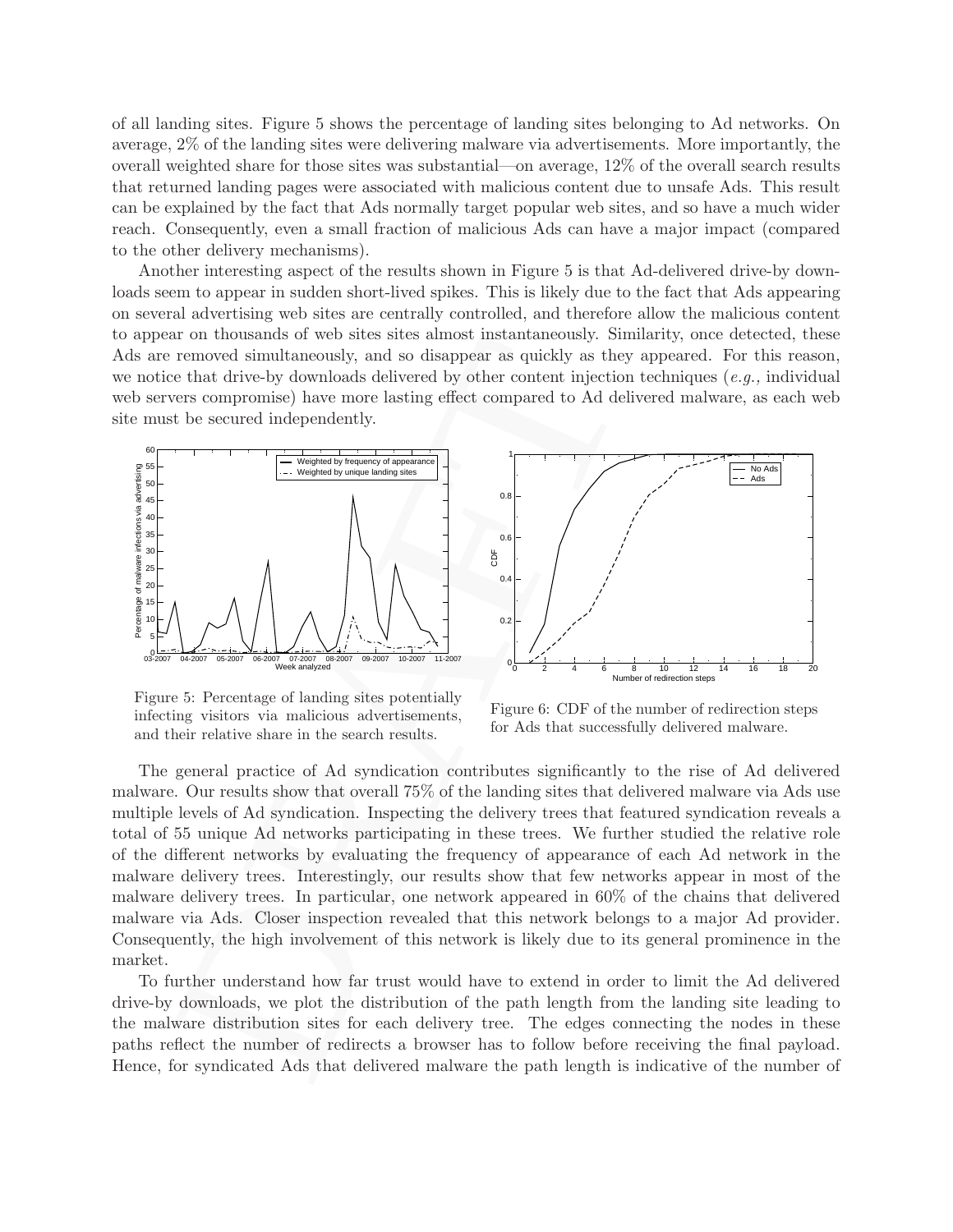of all landing sites. Figure 5 shows the percentage of landing sites belonging to Ad networks. On average, 2% of the landing sites were delivering malware via advertisements. More importantly, the overall weighted share for those sites was substantial—on average, 12% of the overall search results that returned landing pages were associated with malicious content due to unsafe Ads. This result can be explained by the fact that Ads normally target popular web sites, and so have a much wider reach. Consequently, even a small fraction of malicious Ads can have a major impact (compared to the other delivery mechanisms).

Another interesting aspect of the results shown in Figure 5 is that Ad-delivered drive-by downloads seem to appear in sudden short-lived spikes. This is likely due to the fact that Ads appearing on several advertising web sites are centrally controlled, and therefore allow the malicious content to appear on thousands of web sites sites almost instantaneously. Similarity, once detected, these Ads are removed simultaneously, and so disappear as quickly as they appeared. For this reason, we notice that drive-by downloads delivered by other content injection techniques  $(e.g.,$  individual web servers compromise) have more lasting effect compared to Ad delivered malware, as each web site must be secured independently.



0 2 4 6 8 10 12 14 16 18 20 Number of redirection steps  $0<sub>0</sub>$ 0.2  $\overline{0}$ .  $0.6$  $0.8$ 1 CDF No Ads — No.<br>-- Ads

Figure 5: Percentage of landing sites potentially infecting visitors via malicious advertisements, and their relative share in the search results.

Figure 6: CDF of the number of redirection steps for Ads that successfully delivered malware.

For inconsists on very such as Satisfactions and the particular consists of the mathematic central effect compared simulations), and so disappear as quickly as they appeared error moved simulations), and so disappear as q The general practice of Ad syndication contributes significantly to the rise of Ad delivered malware. Our results show that overall 75% of the landing sites that delivered malware via Ads use multiple levels of Ad syndication. Inspecting the delivery trees that featured syndication reveals a total of 55 unique Ad networks participating in these trees. We further studied the relative role of the different networks by evaluating the frequency of appearance of each Ad network in the malware delivery trees. Interestingly, our results show that few networks appear in most of the malware delivery trees. In particular, one network appeared in 60% of the chains that delivered malware via Ads. Closer inspection revealed that this network belongs to a major Ad provider. Consequently, the high involvement of this network is likely due to its general prominence in the market.

To further understand how far trust would have to extend in order to limit the Ad delivered drive-by downloads, we plot the distribution of the path length from the landing site leading to the malware distribution sites for each delivery tree. The edges connecting the nodes in these paths reflect the number of redirects a browser has to follow before receiving the final payload. Hence, for syndicated Ads that delivered malware the path length is indicative of the number of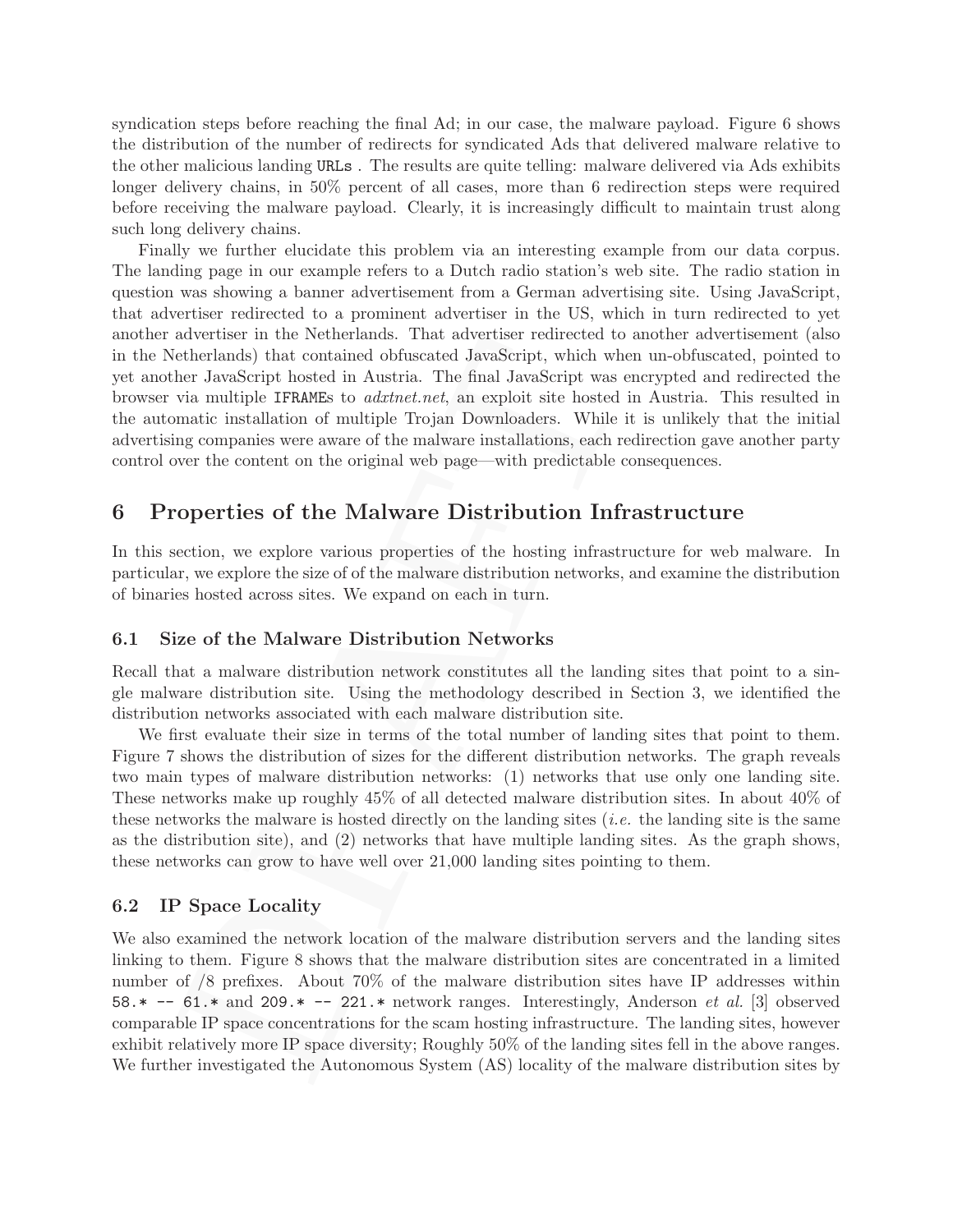syndication steps before reaching the final Ad; in our case, the malware payload. Figure 6 shows the distribution of the number of redirects for syndicated Ads that delivered malware relative to the other malicious landing URLs . The results are quite telling: malware delivered via Ads exhibits longer delivery chains, in 50% percent of all cases, more than 6 redirection steps were required before receiving the malware payload. Clearly, it is increasingly difficult to maintain trust along such long delivery chains.

Finally we further elucidate this problem via an interesting example from our data corpus. The landing page in our example refers to a Dutch radio station's web site. The radio station in question was showing a banner advertisement from a German advertising site. Using JavaScript, that advertiser redirected to a prominent advertiser in the US, which in turn redirected to yet another advertiser in the Netherlands. That advertiser redirected to another advertisement (also in the Netherlands) that contained obfuscated JavaScript, which when un-obfuscated, pointed to yet another JavaScript hosted in Austria. The final JavaScript was encrypted and redirected the browser via multiple IFRAMEs to adxtnet.net, an exploit site hosted in Austria. This resulted in the automatic installation of multiple Trojan Downloaders. While it is unlikely that the initial advertising companies were aware of the malware installations, each redirection gave another party control over the content on the original web page—with predictable consequences.

## 6 Properties of the Malware Distribution Infrastructure

In this section, we explore various properties of the hosting infrastructure for web malware. In particular, we explore the size of of the malware distribution networks, and examine the distribution of binaries hosted across sites. We expand on each in turn.

### 6.1 Size of the Malware Distribution Networks

Recall that a malware distribution network constitutes all the landing sites that point to a single malware distribution site. Using the methodology described in Section 3, we identified the distribution networks associated with each malware distribution site.

We first evaluate their size in terms of the total number of landing sites that point to them. Figure 7 shows the distribution of sizes for the different distribution networks. The graph reveals two main types of malware distribution networks: (1) networks that use only one landing site. These networks make up roughly 45% of all detected malware distribution sites. In about 40% of these networks the malware is hosted directly on the landing sites (i.e. the landing site is the same as the distribution site), and (2) networks that have multiple landing sites. As the graph shows, these networks can grow to have well over 21,000 landing sites pointing to them.

### 6.2 IP Space Locality

aver is reture in the contentions. That are<br>vertical constant and the contained obfuscated JawaScript, which when um-obfurcated<br>hetherlands) that contained obfuscated JawaScript, which when um-obfurcated<br>in Austria. The f We also examined the network location of the malware distribution servers and the landing sites linking to them. Figure 8 shows that the malware distribution sites are concentrated in a limited number of /8 prefixes. About 70% of the malware distribution sites have IP addresses within  $58.* -61.*$  and  $209.* -221.*$  network ranges. Interestingly, Anderson *et al.* [3] observed comparable IP space concentrations for the scam hosting infrastructure. The landing sites, however exhibit relatively more IP space diversity; Roughly 50% of the landing sites fell in the above ranges. We further investigated the Autonomous System (AS) locality of the malware distribution sites by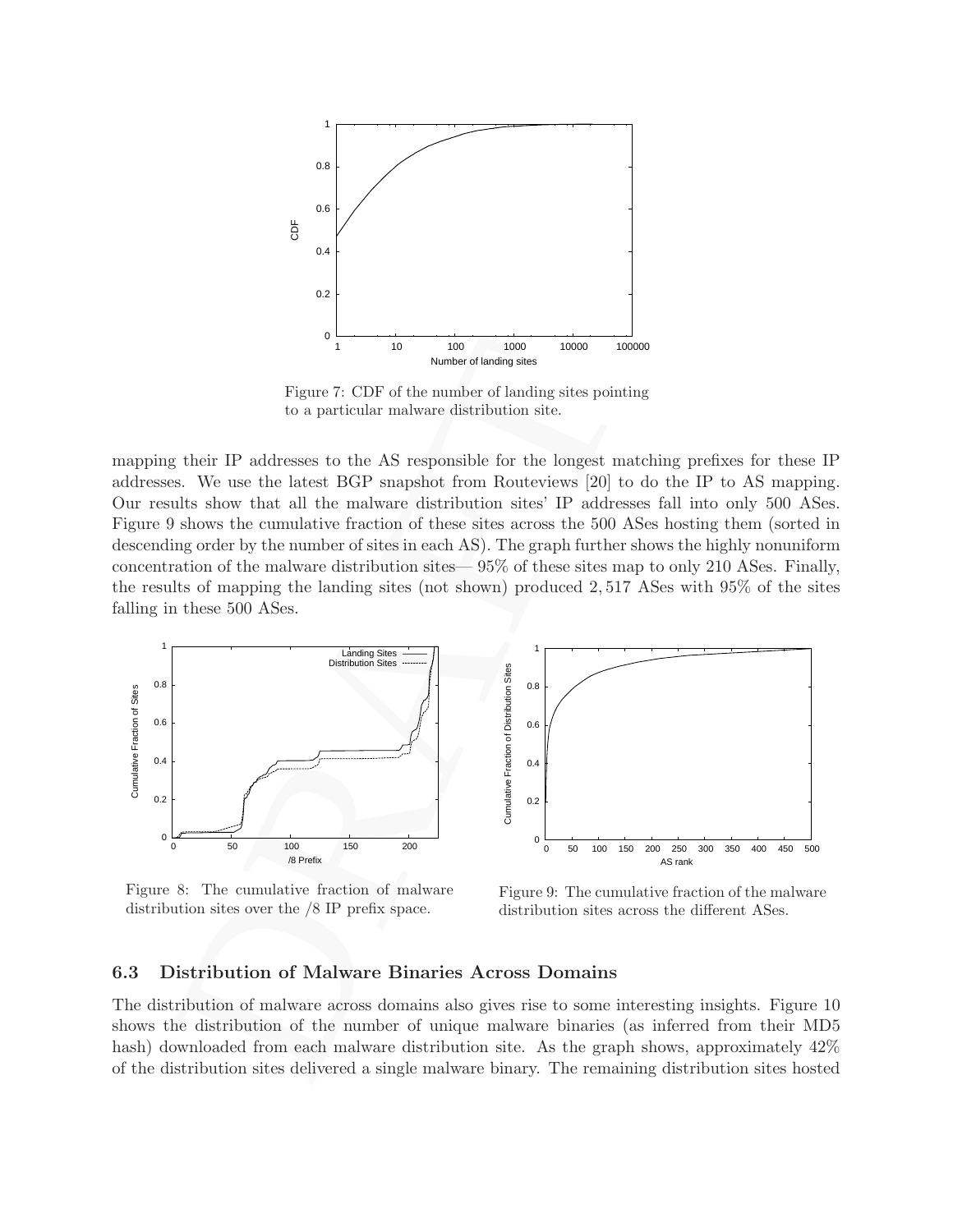

Figure 7: CDF of the number of landing sites pointing to a particular malware distribution site.

mapping their IP addresses to the AS responsible for the longest matching prefixes for these IP addresses. We use the latest BGP snapshot from Routeviews [20] to do the IP to AS mapping. Our results show that all the malware distribution sites' IP addresses fall into only 500 ASes. Figure 9 shows the cumulative fraction of these sites across the 500 ASes hosting them (sorted in descending order by the number of sites in each AS). The graph further shows the highly nonuniform concentration of the malware distribution sites— 95% of these sites map to only 210 ASes. Finally, the results of mapping the landing sites (not shown) produced 2, 517 ASes with 95% of the sites falling in these 500 ASes.



Figure 8: The cumulative fraction of malware distribution sites over the /8 IP prefix space.

Figure 9: The cumulative fraction of the malware distribution sites across the different ASes.

#### 6.3 Distribution of Malware Binaries Across Domains

The distribution of malware across domains also gives rise to some interesting insights. Figure 10 shows the distribution of the number of unique malware binaries (as inferred from their MD5 hash) downloaded from each malware distribution site. As the graph shows, approximately  $42\%$ of the distribution sites delivered a single malware binary. The remaining distribution sites hosted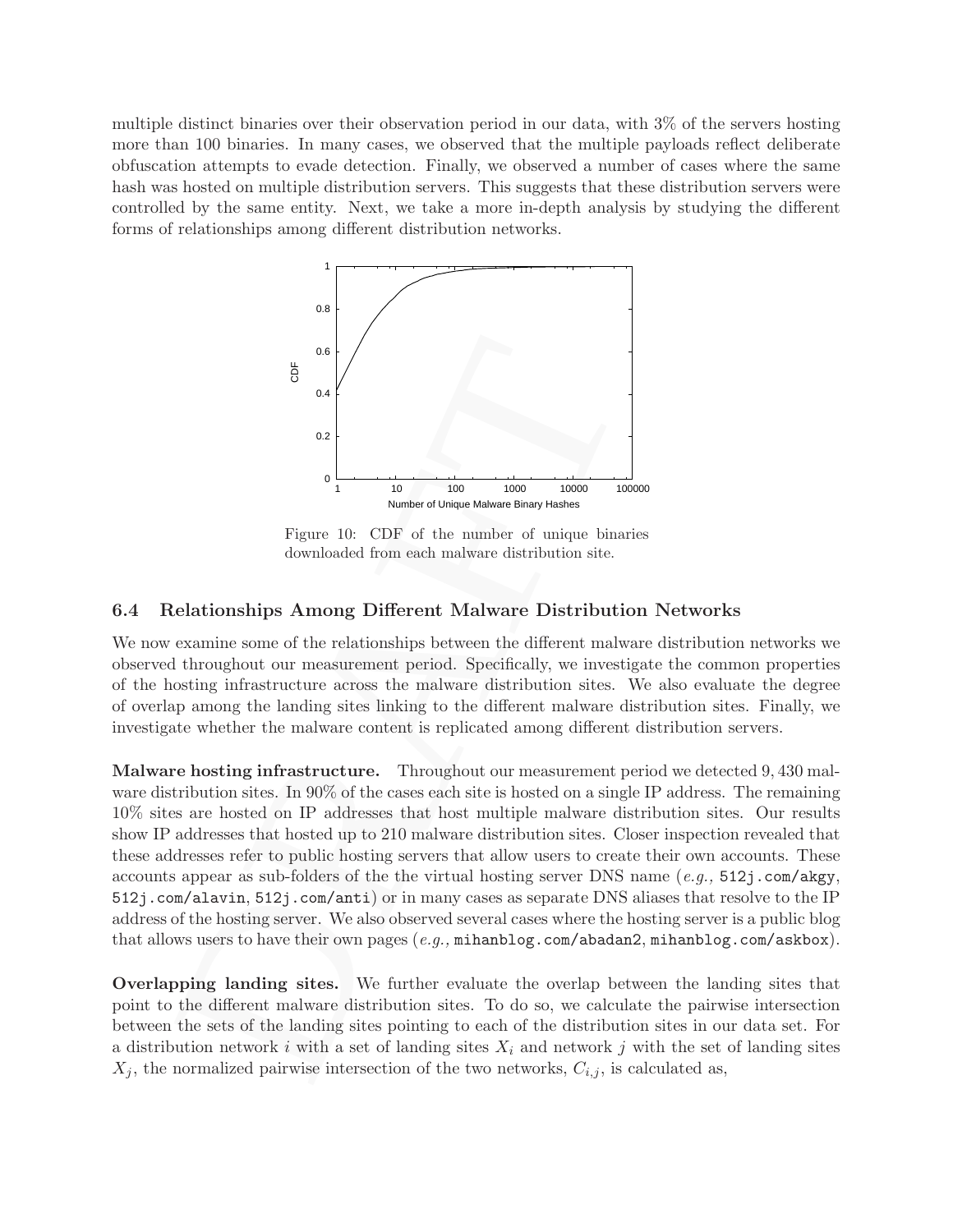multiple distinct binaries over their observation period in our data, with 3% of the servers hosting more than 100 binaries. In many cases, we observed that the multiple payloads reflect deliberate obfuscation attempts to evade detection. Finally, we observed a number of cases where the same hash was hosted on multiple distribution servers. This suggests that these distribution servers were controlled by the same entity. Next, we take a more in-depth analysis by studying the different forms of relationships among different distribution networks.



Figure 10: CDF of the number of unique binaries downloaded from each malware distribution site.

### 6.4 Relationships Among Different Malware Distribution Networks

We now examine some of the relationships between the different malware distribution networks we observed throughout our measurement period. Specifically, we investigate the common properties of the hosting infrastructure across the malware distribution sites. We also evaluate the degree of overlap among the landing sites linking to the different malware distribution sites. Finally, we investigate whether the malware content is replicated among different distribution servers.

 $\begin{tabular}{c|c|c} \multicolumn{1}{c}{\textbf{5}} & \multicolumn{1}{c}{\textbf{5}} & \multicolumn{1}{c}{\textbf{5}} \\ \hline \end{tabular} \begin{tabular}{c}{\textbf{5}} & \multicolumn{1}{c}{\textbf{5}} & \multicolumn{1}{c}{\textbf{0}} \\ \hline \end{tabular} \begin{tabular}{c}{\textbf{5}} & \multicolumn{1}{c}{\textbf{0}} & \multicolumn{1}{c}{\textbf{0}} & \multicolumn{1}{c}{\textbf{0}} \\ \hline \end{tabular} \begin{tabular}{c}{\textbf{1}} & \multicolumn{1}{c$ Malware hosting infrastructure. Throughout our measurement period we detected 9, 430 malware distribution sites. In 90% of the cases each site is hosted on a single IP address. The remaining 10% sites are hosted on IP addresses that host multiple malware distribution sites. Our results show IP addresses that hosted up to 210 malware distribution sites. Closer inspection revealed that these addresses refer to public hosting servers that allow users to create their own accounts. These accounts appear as sub-folders of the the virtual hosting server DNS name  $(e.g., 512j.com/akgy,$ 512j.com/alavin, 512j.com/anti) or in many cases as separate DNS aliases that resolve to the IP address of the hosting server. We also observed several cases where the hosting server is a public blog that allows users to have their own pages  $(e.g., \text{mihanblog.com/abadan2}, \text{mihanblog.com/askbox}).$ 

Overlapping landing sites. We further evaluate the overlap between the landing sites that point to the different malware distribution sites. To do so, we calculate the pairwise intersection between the sets of the landing sites pointing to each of the distribution sites in our data set. For a distribution network i with a set of landing sites  $X_i$  and network j with the set of landing sites  $X_j$ , the normalized pairwise intersection of the two networks,  $C_{i,j}$ , is calculated as,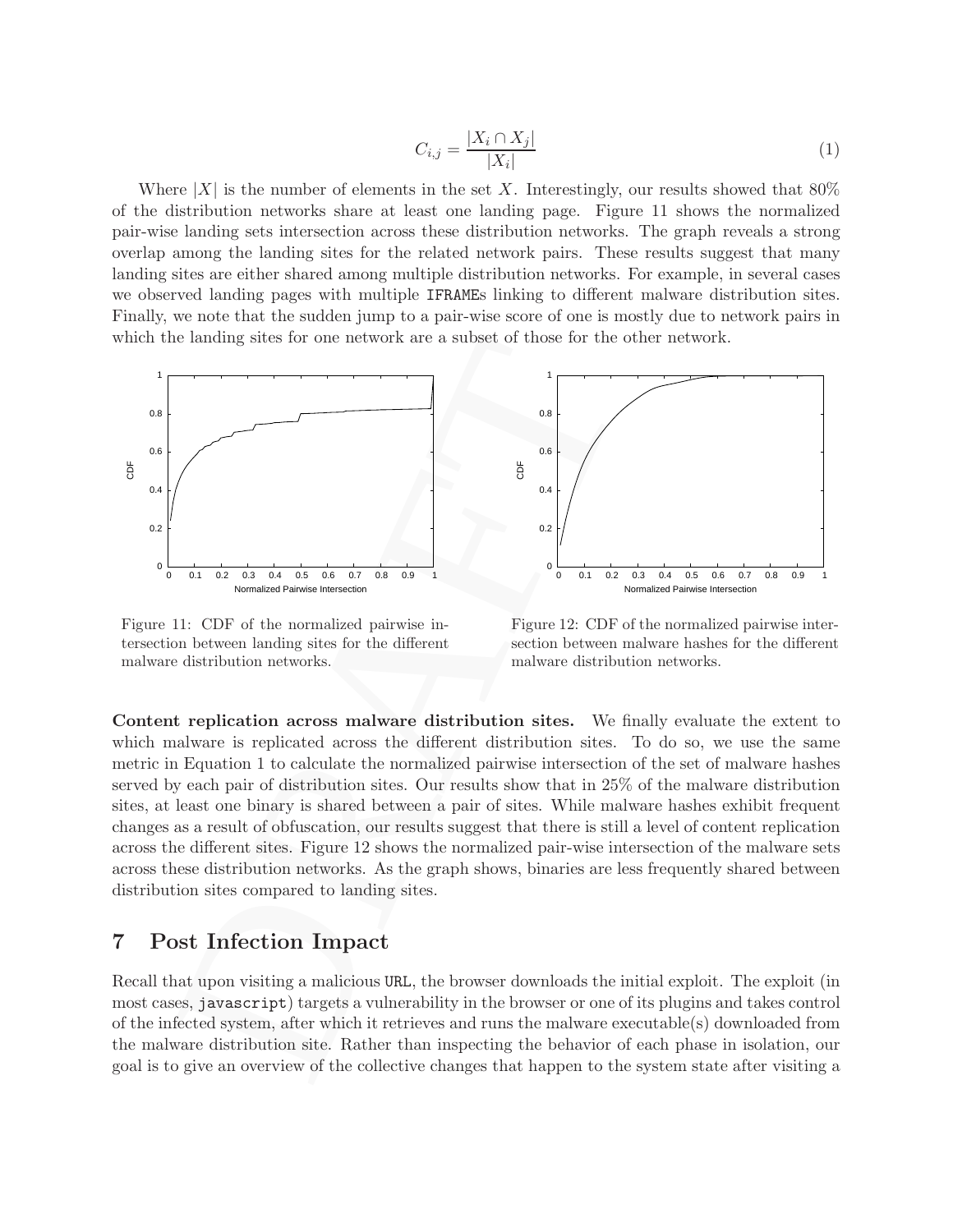$$
C_{i,j} = \frac{|X_i \cap X_j|}{|X_i|} \tag{1}
$$

Where  $|X|$  is the number of elements in the set X. Interestingly, our results showed that 80% of the distribution networks share at least one landing page. Figure 11 shows the normalized pair-wise landing sets intersection across these distribution networks. The graph reveals a strong overlap among the landing sites for the related network pairs. These results suggest that many landing sites are either shared among multiple distribution networks. For example, in several cases we observed landing pages with multiple IFRAMEs linking to different malware distribution sites. Finally, we note that the sudden jump to a pair-wise score of one is mostly due to network pairs in which the landing sites for one network are a subset of those for the other network.



Figure 11: CDF of the normalized pairwise intersection between landing sites for the different malware distribution networks.

Figure 12: CDF of the normalized pairwise intersection between malware hashes for the different malware distribution networks.

Content replication across malware distribution sites. We finally evaluate the extent to which malware is replicated across the different distribution sites. To do so, we use the same metric in Equation 1 to calculate the normalized pairwise intersection of the set of malware hashes served by each pair of distribution sites. Our results show that in 25% of the malware distribution sites, at least one binary is shared between a pair of sites. While malware hashes exhibit frequent changes as a result of obfuscation, our results suggest that there is still a level of content replication across the different sites. Figure 12 shows the normalized pair-wise intersection of the malware sets across these distribution networks. As the graph shows, binaries are less frequently shared between distribution sites compared to landing sites.

## 7 Post Infection Impact

Recall that upon visiting a malicious URL, the browser downloads the initial exploit. The exploit (in most cases, javascript) targets a vulnerability in the browser or one of its plugins and takes control of the infected system, after which it retrieves and runs the malware executable(s) downloaded from the malware distribution site. Rather than inspecting the behavior of each phase in isolation, our goal is to give an overview of the collective changes that happen to the system state after visiting a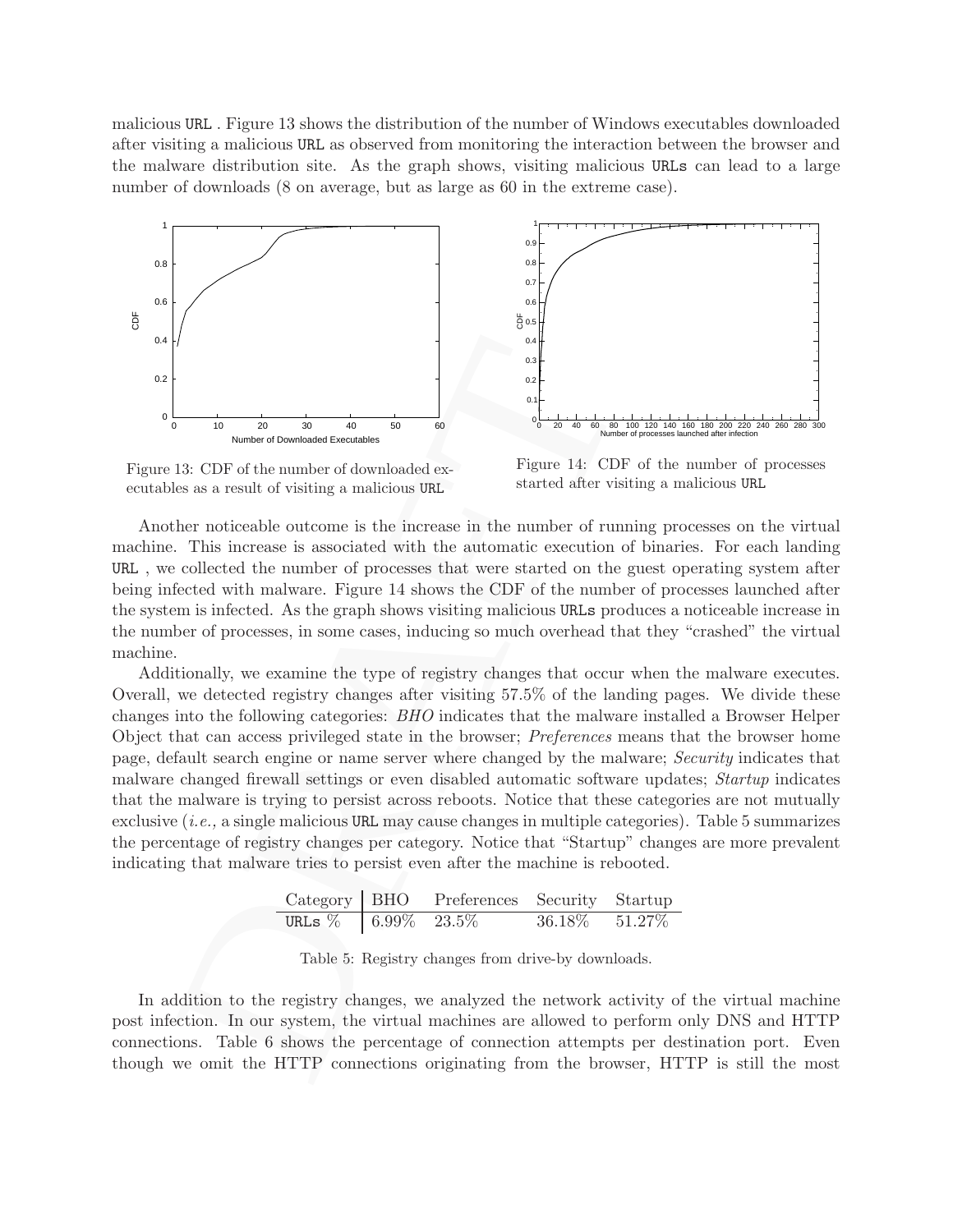malicious URL . Figure 13 shows the distribution of the number of Windows executables downloaded after visiting a malicious URL as observed from monitoring the interaction between the browser and the malware distribution site. As the graph shows, visiting malicious URLs can lead to a large number of downloads (8 on average, but as large as 60 in the extreme case).



Figure 13: CDF of the number of downloaded executables as a result of visiting a malicious URL

Figure 14: CDF of the number of processes started after visiting a malicious URL

Another noticeable outcome is the increase in the number of running processes on the virtual machine. This increase is associated with the automatic execution of binaries. For each landing URL , we collected the number of processes that were started on the guest operating system after being infected with malware. Figure 14 shows the CDF of the number of processes launched after the system is infected. As the graph shows visiting malicious URLs produces a noticeable increase in the number of processes, in some cases, inducing so much overhead that they "crashed" the virtual machine.

DRAFT Additionally, we examine the type of registry changes that occur when the malware executes. Overall, we detected registry changes after visiting 57.5% of the landing pages. We divide these changes into the following categories: BHO indicates that the malware installed a Browser Helper Object that can access privileged state in the browser; Preferences means that the browser home page, default search engine or name server where changed by the malware; Security indicates that malware changed firewall settings or even disabled automatic software updates; Startup indicates that the malware is trying to persist across reboots. Notice that these categories are not mutually exclusive (i.e., a single malicious URL may cause changes in multiple categories). Table 5 summarizes the percentage of registry changes per category. Notice that "Startup" changes are more prevalent indicating that malware tries to persist even after the machine is rebooted.

| $Category$ BHO          | Preferences Security Startup |                     |  |
|-------------------------|------------------------------|---------------------|--|
| URLs $\%$ 6.99\% 23.5\% |                              | $36.18\%$ $51.27\%$ |  |

Table 5: Registry changes from drive-by downloads.

In addition to the registry changes, we analyzed the network activity of the virtual machine post infection. In our system, the virtual machines are allowed to perform only DNS and HTTP connections. Table 6 shows the percentage of connection attempts per destination port. Even though we omit the HTTP connections originating from the browser, HTTP is still the most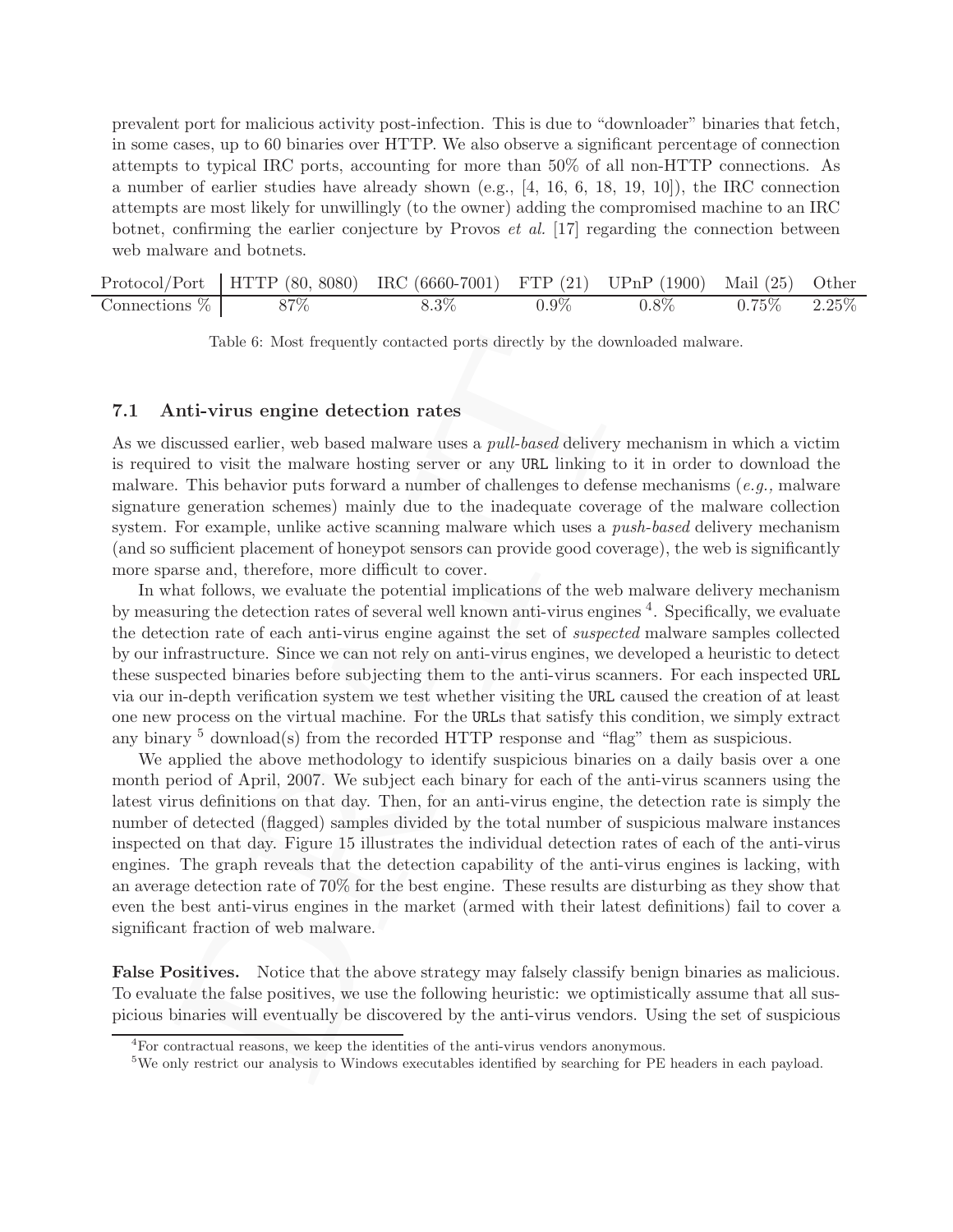prevalent port for malicious activity post-infection. This is due to "downloader" binaries that fetch, in some cases, up to 60 binaries over HTTP. We also observe a significant percentage of connection attempts to typical IRC ports, accounting for more than 50% of all non-HTTP connections. As a number of earlier studies have already shown (e.g., [4, 16, 6, 18, 19, 10]), the IRC connection attempts are most likely for unwillingly (to the owner) adding the compromised machine to an IRC botnet, confirming the earlier conjecture by Provos  $et \ al.$  [17] regarding the connection between web malware and botnets.

|                  | Protocol/Port   HTTP $(80, 8080)$ IRC $(6660-7001)$ FTP $(21)$ UPnP $(1900)$ |         |         |         | Mail $(25)$ | Other    |
|------------------|------------------------------------------------------------------------------|---------|---------|---------|-------------|----------|
| Connections $\%$ | 87\%                                                                         | $8.3\%$ | $0.9\%$ | $0.8\%$ | $75\%$      | $2.25\%$ |

Table 6: Most frequently contacted ports directly by the downloaded malware.

### 7.1 Anti-virus engine detection rates

As we discussed earlier, web based malware uses a *pull-based* delivery mechanism in which a victim is required to visit the malware hosting server or any URL linking to it in order to download the malware. This behavior puts forward a number of challenges to defense mechanisms  $(e.g.,$  malware signature generation schemes) mainly due to the inadequate coverage of the malware collection system. For example, unlike active scanning malware which uses a *push-based* delivery mechanism (and so sufficient placement of honeypot sensors can provide good coverage), the web is significantly more sparse and, therefore, more difficult to cover.

In what follows, we evaluate the potential implications of the web malware delivery mechanism by measuring the detection rates of several well known anti-virus engines <sup>4</sup>. Specifically, we evaluate the detection rate of each anti-virus engine against the set of suspected malware samples collected by our infrastructure. Since we can not rely on anti-virus engines, we developed a heuristic to detect these suspected binaries before subjecting them to the anti-virus scanners. For each inspected URL via our in-depth verification system we test whether visiting the URL caused the creation of at least one new process on the virtual machine. For the URLs that satisfy this condition, we simply extract any binary  $5$  download(s) from the recorded HTTP response and "flag" them as suspicious.

Table 6: Most frequently contacted ports directly by the downloaded nul<br>
nnin-Virus engine detection rates<br>
is<br>
siscussed earlier, web based malware uses a *pull-based* delivery mechanism<br>
ed to visit the malware hosting We applied the above methodology to identify suspicious binaries on a daily basis over a one month period of April, 2007. We subject each binary for each of the anti-virus scanners using the latest virus definitions on that day. Then, for an anti-virus engine, the detection rate is simply the number of detected (flagged) samples divided by the total number of suspicious malware instances inspected on that day. Figure 15 illustrates the individual detection rates of each of the anti-virus engines. The graph reveals that the detection capability of the anti-virus engines is lacking, with an average detection rate of 70% for the best engine. These results are disturbing as they show that even the best anti-virus engines in the market (armed with their latest definitions) fail to cover a significant fraction of web malware.

False Positives. Notice that the above strategy may falsely classify benign binaries as malicious. To evaluate the false positives, we use the following heuristic: we optimistically assume that all suspicious binaries will eventually be discovered by the anti-virus vendors. Using the set of suspicious

<sup>&</sup>lt;sup>4</sup>For contractual reasons, we keep the identities of the anti-virus vendors anonymous.

<sup>&</sup>lt;sup>5</sup>We only restrict our analysis to Windows executables identified by searching for PE headers in each payload.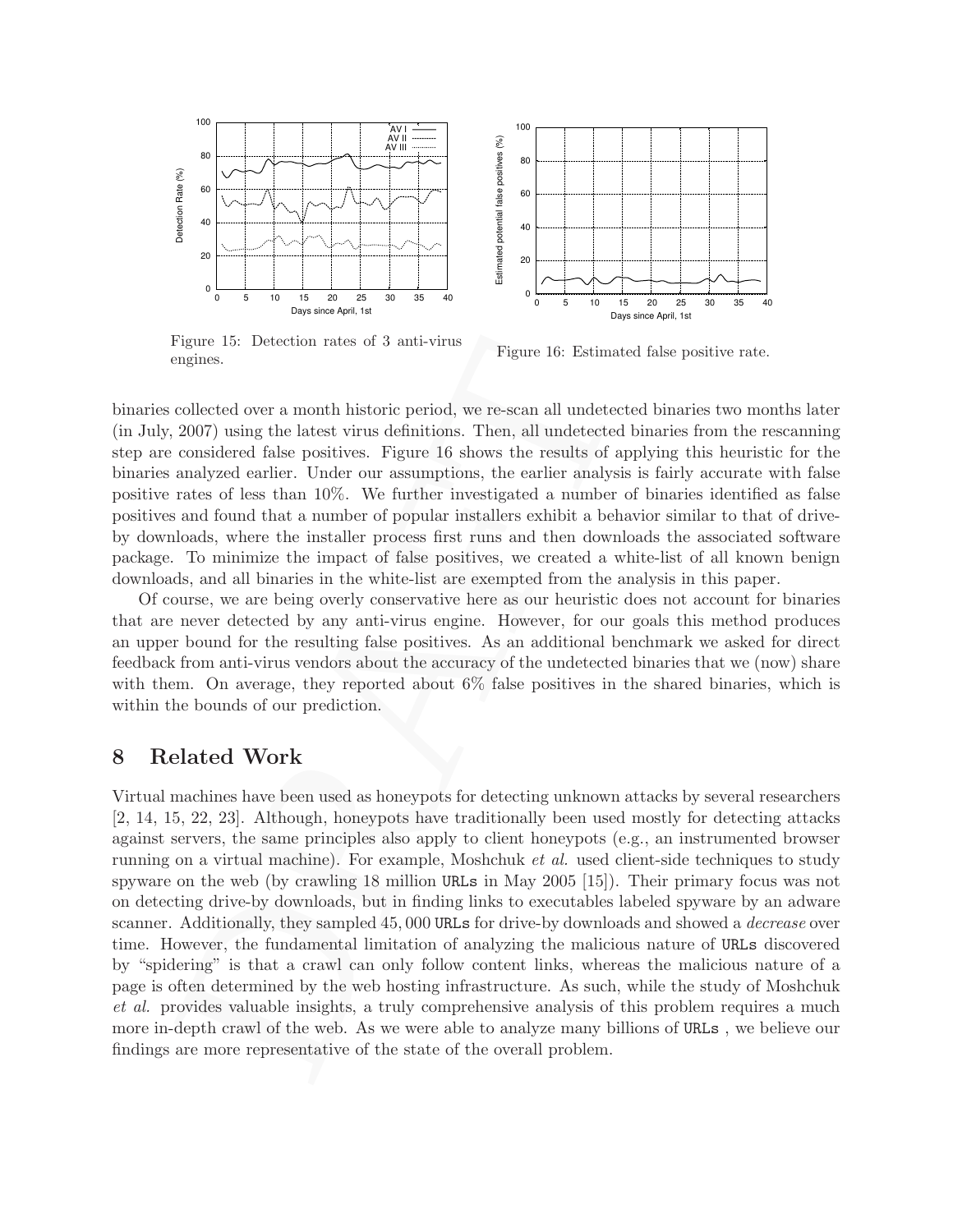

Figure 15: Detection rates of 3 anti-virus engines.

Figure 16: Estimated false positive rate.

binaries collected over a month historic period, we re-scan all undetected binaries two months later (in July, 2007) using the latest virus definitions. Then, all undetected binaries from the rescanning step are considered false positives. Figure 16 shows the results of applying this heuristic for the binaries analyzed earlier. Under our assumptions, the earlier analysis is fairly accurate with false positive rates of less than 10%. We further investigated a number of binaries identified as false positives and found that a number of popular installers exhibit a behavior similar to that of driveby downloads, where the installer process first runs and then downloads the associated software package. To minimize the impact of false positives, we created a white-list of all known benign downloads, and all binaries in the white-list are exempted from the analysis in this paper.

Of course, we are being overly conservative here as our heuristic does not account for binaries that are never detected by any anti-virus engine. However, for our goals this method produces an upper bound for the resulting false positives. As an additional benchmark we asked for direct feedback from anti-virus vendors about the accuracy of the undetected binaries that we (now) share with them. On average, they reported about  $6\%$  false positives in the shared binaries, which is within the bounds of our prediction.

### 8 Related Work

Figure 15: Detection rates of 3 anti-virus<br>
Figure 16: Estimated false posity<br>
respectives<br>
respectives. Figure 16: Estimated false posity<br>
collected over a month historic period, we re-scan all undetected binaries from<br> Virtual machines have been used as honeypots for detecting unknown attacks by several researchers [2, 14, 15, 22, 23]. Although, honeypots have traditionally been used mostly for detecting attacks against servers, the same principles also apply to client honeypots (e.g., an instrumented browser running on a virtual machine). For example, Moshchuk et al. used client-side techniques to study spyware on the web (by crawling 18 million URLs in May 2005 [15]). Their primary focus was not on detecting drive-by downloads, but in finding links to executables labeled spyware by an adware scanner. Additionally, they sampled 45,000 URLs for drive-by downloads and showed a *decrease* over time. However, the fundamental limitation of analyzing the malicious nature of URLs discovered by "spidering" is that a crawl can only follow content links, whereas the malicious nature of a page is often determined by the web hosting infrastructure. As such, while the study of Moshchuk et al. provides valuable insights, a truly comprehensive analysis of this problem requires a much more in-depth crawl of the web. As we were able to analyze many billions of URLs , we believe our findings are more representative of the state of the overall problem.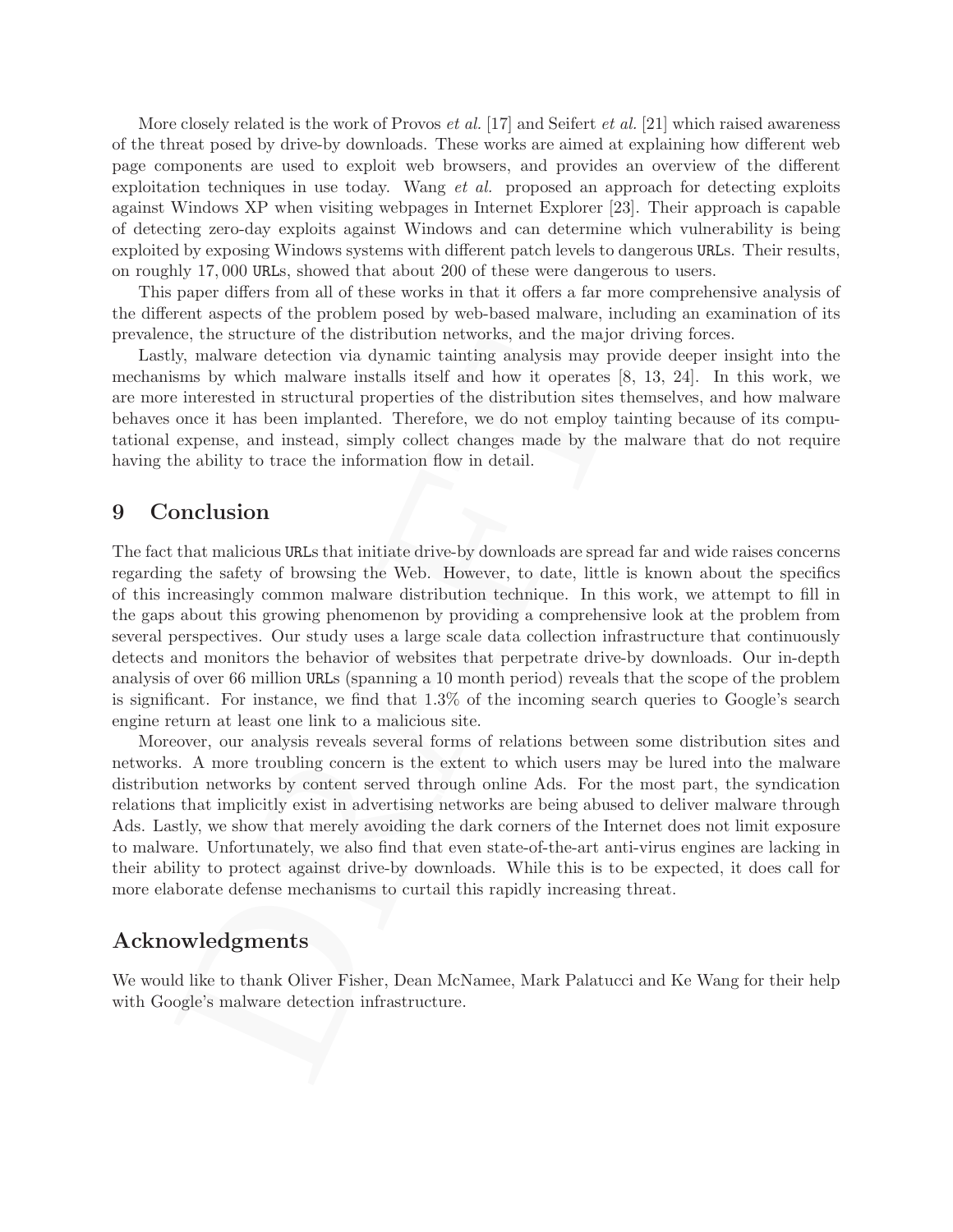More closely related is the work of Provos *et al.* [17] and Seifert *et al.* [21] which raised awareness of the threat posed by drive-by downloads. These works are aimed at explaining how different web page components are used to exploit web browsers, and provides an overview of the different exploitation techniques in use today. Wang et al. proposed an approach for detecting exploits against Windows XP when visiting webpages in Internet Explorer [23]. Their approach is capable of detecting zero-day exploits against Windows and can determine which vulnerability is being exploited by exposing Windows systems with different patch levels to dangerous URLs. Their results, on roughly 17, 000 URLs, showed that about 200 of these were dangerous to users.

This paper differs from all of these works in that it offers a far more comprehensive analysis of the different aspects of the problem posed by web-based malware, including an examination of its prevalence, the structure of the distribution networks, and the major driving forces.

Lastly, malware detection via dynamic tainting analysis may provide deeper insight into the mechanisms by which malware installs itself and how it operates [8, 13, 24]. In this work, we are more interested in structural properties of the distribution sites themselves, and how malware behaves once it has been implanted. Therefore, we do not employ tainting because of its computational expense, and instead, simply collect changes made by the malware that do not require having the ability to trace the information flow in detail.

## 9 Conclusion

ice, the solution of ustronom networks, and use many or work is the map that the sample is the sample in the interested in structural properties of the distribution sites is 13, 24]. Sugare is but when makes by which malwa The fact that malicious URLs that initiate drive-by downloads are spread far and wide raises concerns regarding the safety of browsing the Web. However, to date, little is known about the specifics of this increasingly common malware distribution technique. In this work, we attempt to fill in the gaps about this growing phenomenon by providing a comprehensive look at the problem from several perspectives. Our study uses a large scale data collection infrastructure that continuously detects and monitors the behavior of websites that perpetrate drive-by downloads. Our in-depth analysis of over 66 million URLs (spanning a 10 month period) reveals that the scope of the problem is significant. For instance, we find that 1.3% of the incoming search queries to Google's search engine return at least one link to a malicious site.

Moreover, our analysis reveals several forms of relations between some distribution sites and networks. A more troubling concern is the extent to which users may be lured into the malware distribution networks by content served through online Ads. For the most part, the syndication relations that implicitly exist in advertising networks are being abused to deliver malware through Ads. Lastly, we show that merely avoiding the dark corners of the Internet does not limit exposure to malware. Unfortunately, we also find that even state-of-the-art anti-virus engines are lacking in their ability to protect against drive-by downloads. While this is to be expected, it does call for more elaborate defense mechanisms to curtail this rapidly increasing threat.

## Acknowledgments

We would like to thank Oliver Fisher, Dean McNamee, Mark Palatucci and Ke Wang for their help with Google's malware detection infrastructure.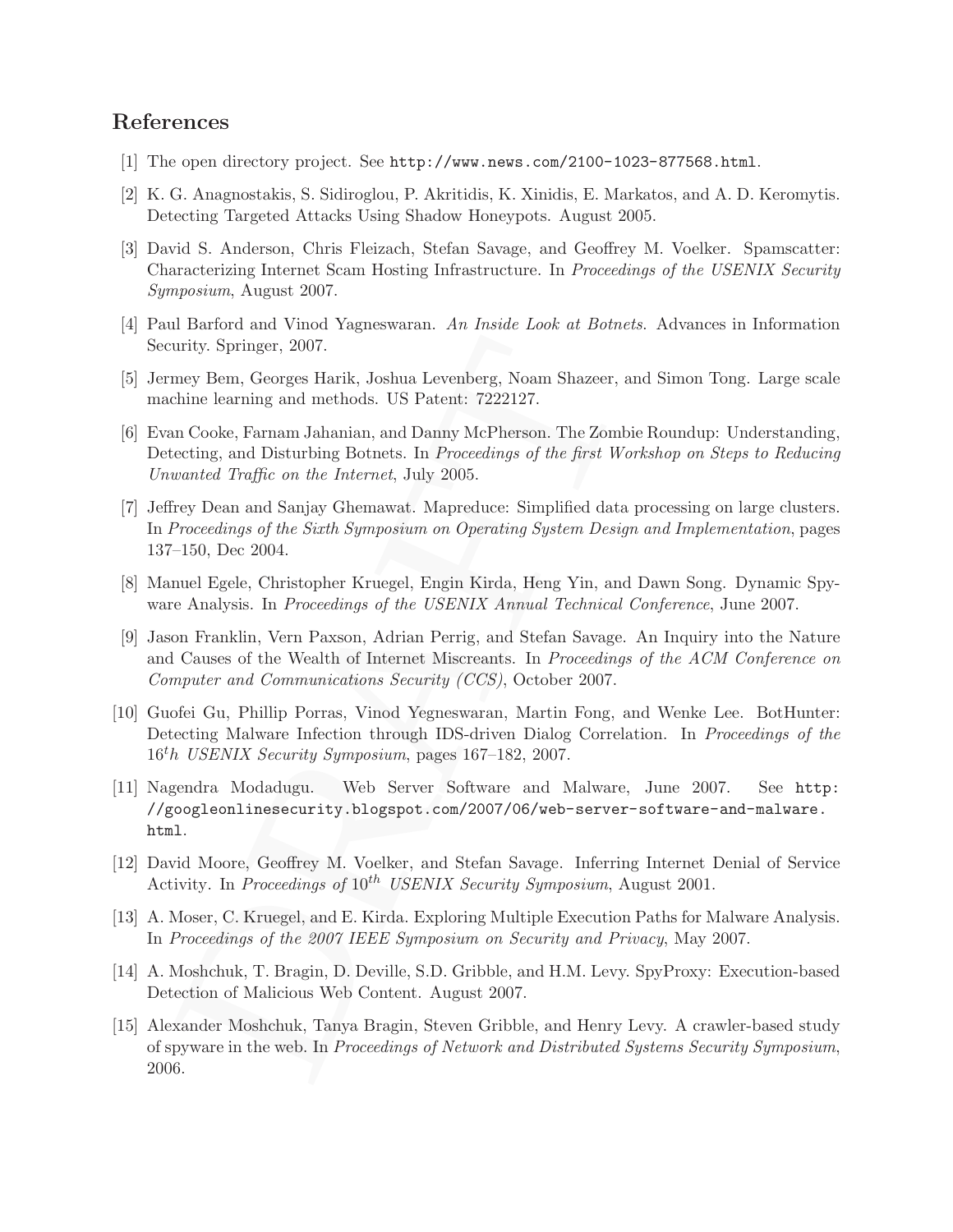## References

- [1] The open directory project. See http://www.news.com/2100-1023-877568.html.
- [2] K. G. Anagnostakis, S. Sidiroglou, P. Akritidis, K. Xinidis, E. Markatos, and A. D. Keromytis. Detecting Targeted Attacks Using Shadow Honeypots. August 2005.
- [3] David S. Anderson, Chris Fleizach, Stefan Savage, and Geoffrey M. Voelker. Spamscatter: Characterizing Internet Scam Hosting Infrastructure. In Proceedings of the USENIX Security Symposium, August 2007.
- [4] Paul Barford and Vinod Yagneswaran. An Inside Look at Botnets. Advances in Information Security. Springer, 2007.
- [5] Jermey Bem, Georges Harik, Joshua Levenberg, Noam Shazeer, and Simon Tong. Large scale machine learning and methods. US Patent: 7222127.
- urity. Springer, 2007.<br>
unity. Springer, 2007.<br>
thine learning and methods. US Patent: 7222127.<br>
thine learning and methods. US Patent: 7222127.<br>
un Cooke, Farnam Jahanian, and Damy McPherson. The Zombie Roundu<br>
ceting, a [6] Evan Cooke, Farnam Jahanian, and Danny McPherson. The Zombie Roundup: Understanding, Detecting, and Disturbing Botnets. In Proceedings of the first Workshop on Steps to Reducing Unwanted Traffic on the Internet, July 2005.
- [7] Jeffrey Dean and Sanjay Ghemawat. Mapreduce: Simplified data processing on large clusters. In Proceedings of the Sixth Symposium on Operating System Design and Implementation, pages 137–150, Dec 2004.
- [8] Manuel Egele, Christopher Kruegel, Engin Kirda, Heng Yin, and Dawn Song. Dynamic Spyware Analysis. In *Proceedings of the USENIX Annual Technical Conference*, June 2007.
- [9] Jason Franklin, Vern Paxson, Adrian Perrig, and Stefan Savage. An Inquiry into the Nature and Causes of the Wealth of Internet Miscreants. In Proceedings of the ACM Conference on Computer and Communications Security (CCS), October 2007.
- [10] Guofei Gu, Phillip Porras, Vinod Yegneswaran, Martin Fong, and Wenke Lee. BotHunter: Detecting Malware Infection through IDS-driven Dialog Correlation. In *Proceedings of the* 16th USENIX Security Symposium, pages 167–182, 2007.
- [11] Nagendra Modadugu. Web Server Software and Malware, June 2007. See http: //googleonlinesecurity.blogspot.com/2007/06/web-server-software-and-malware. html.
- [12] David Moore, Geoffrey M. Voelker, and Stefan Savage. Inferring Internet Denial of Service Activity. In Proceedings of  $10^{th}$  USENIX Security Symposium, August 2001.
- [13] A. Moser, C. Kruegel, and E. Kirda. Exploring Multiple Execution Paths for Malware Analysis. In Proceedings of the 2007 IEEE Symposium on Security and Privacy, May 2007.
- [14] A. Moshchuk, T. Bragin, D. Deville, S.D. Gribble, and H.M. Levy. SpyProxy: Execution-based Detection of Malicious Web Content. August 2007.
- [15] Alexander Moshchuk, Tanya Bragin, Steven Gribble, and Henry Levy. A crawler-based study of spyware in the web. In Proceedings of Network and Distributed Systems Security Symposium, 2006.